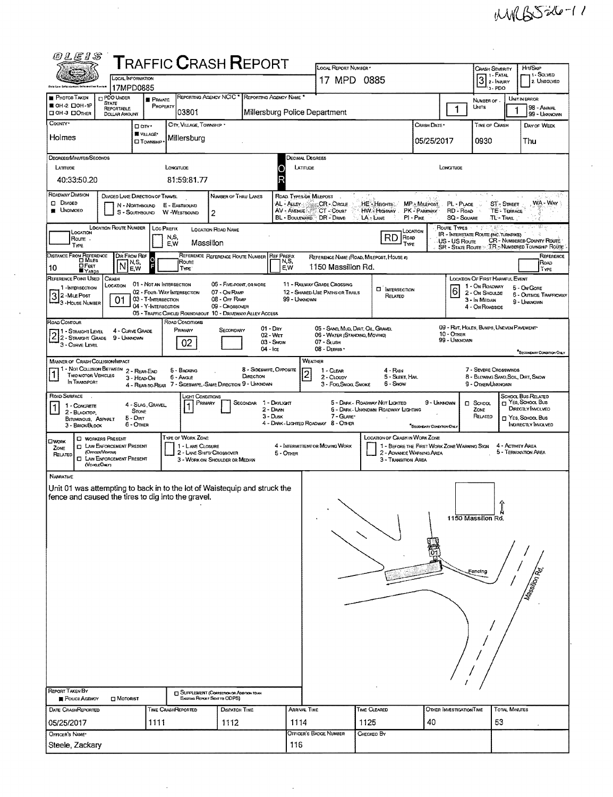WW6526-11

| 的厂匠り名                                                                                                                                                                                                                                                                                                                                                                                                                                                                                                              |                                                                                                                         |                                                                        |                                                 | <b>TRAFFIC CRASH REPORT</b>                                                                                                                |                                                            |                                        |                                                                                                   |                                                                       |                                                                                                                           |                                                                           |                                                                      |                                                                                                         |  |  |  |  |  |  |
|--------------------------------------------------------------------------------------------------------------------------------------------------------------------------------------------------------------------------------------------------------------------------------------------------------------------------------------------------------------------------------------------------------------------------------------------------------------------------------------------------------------------|-------------------------------------------------------------------------------------------------------------------------|------------------------------------------------------------------------|-------------------------------------------------|--------------------------------------------------------------------------------------------------------------------------------------------|------------------------------------------------------------|----------------------------------------|---------------------------------------------------------------------------------------------------|-----------------------------------------------------------------------|---------------------------------------------------------------------------------------------------------------------------|---------------------------------------------------------------------------|----------------------------------------------------------------------|---------------------------------------------------------------------------------------------------------|--|--|--|--|--|--|
| <b>Ohio Law Cefercament Information Byulan</b>                                                                                                                                                                                                                                                                                                                                                                                                                                                                     | LOCAL INFORMATION<br>17MPD0885                                                                                          |                                                                        |                                                 |                                                                                                                                            |                                                            |                                        | LOCAL REPORT NUMBER *<br>17 MPD 0885                                                              |                                                                       | Hrt/Skip<br><b>CRASH SEVERITY</b><br>11 - Solved<br>7 1 - Fatal<br>$3z$ - FATAL<br>2. UNSOLVED<br>$\mathbf{I}_{13}$ , PDO |                                                                           |                                                                      |                                                                                                         |  |  |  |  |  |  |
| <b>PHOTOS TAKEN</b><br>■ ОН-2 口ОН-1Р<br>⊔ ОН-3 □ ОТНЕВ                                                                                                                                                                                                                                                                                                                                                                                                                                                             | PDO UNDER<br><b>STATE</b><br><b>REPORTABLE</b><br><b>DOLLAR AMOUNT</b>                                                  | <b>FRIVATE</b><br>PROPERTY                                             | 03801                                           | REPORTING AGENCY NCIC * REPORTING AGENCY NAME *                                                                                            |                                                            |                                        | Millersburg Police Department                                                                     |                                                                       | 1                                                                                                                         | <b>UNIT IN ERROR</b><br>NUMBER OF<br>UNITS<br>98 - Animal<br>99 - Unknown |                                                                      |                                                                                                         |  |  |  |  |  |  |
| County.<br>Holmes                                                                                                                                                                                                                                                                                                                                                                                                                                                                                                  |                                                                                                                         | D GTY*<br>VILLAGE*                                                     | CITY, VILLAGE, TOWNSHIP<br>Millersburg          |                                                                                                                                            |                                                            |                                        |                                                                                                   |                                                                       | Crash Date *                                                                                                              | Time of Crash<br>DAY OF WEEK<br>0930                                      |                                                                      |                                                                                                         |  |  |  |  |  |  |
| <b>CI TOWNSHIP</b><br>DEGREES/MINUTES/SECONDS                                                                                                                                                                                                                                                                                                                                                                                                                                                                      |                                                                                                                         |                                                                        |                                                 |                                                                                                                                            |                                                            |                                        | Decimal Degrees                                                                                   |                                                                       | 05/25/2017                                                                                                                | Thu                                                                       |                                                                      |                                                                                                         |  |  |  |  |  |  |
| LATITUDE<br>40:33:50.20                                                                                                                                                                                                                                                                                                                                                                                                                                                                                            |                                                                                                                         |                                                                        | LONGITUDE<br>81:59:81.77                        |                                                                                                                                            |                                                            | R                                      | LATITUDE<br>LONGTUDE                                                                              |                                                                       |                                                                                                                           |                                                                           |                                                                      |                                                                                                         |  |  |  |  |  |  |
| ROADWAY DIVISION<br>$\square$ Divided<br><b>UNDIVICED</b>                                                                                                                                                                                                                                                                                                                                                                                                                                                          | <b>DIVIDED LANE DIRECTION OF TRAVEL</b>                                                                                 | N - NORTHBOUND<br>S - SOUTHBOUND                                       | E - EASTBOUND<br>W -WESTBOUND                   | NUMBER OF THRU LANES<br>2                                                                                                                  |                                                            | ROAD. TYPES OR MILEPOST<br>AV - AVENUE | AL - ALLEY Service CR - ORCLE<br>CT-Count<br>BL - BOULEVARD DR - DRIVE                            | HE-Heights<br>HW - Highway<br>LA-LANE                                 | MP - MILEPOST<br>PK - PARKWAY<br>PI - PIKE                                                                                | PL - PLACE<br>RD - Road<br><b>SQ - SOUARE</b>                             | <b>ST-STREET</b><br><b>TE-TERRACE</b><br>TL-TRAIL                    | 32.537<br>WA - Way                                                                                      |  |  |  |  |  |  |
| Location<br>Route.<br>TYPE                                                                                                                                                                                                                                                                                                                                                                                                                                                                                         | <b>LOCATION ROUTE NUMBER</b>                                                                                            | LOC PREFIX                                                             | N,S,<br>E.W                                     | LOCATION ROAD NAME<br>Massillon                                                                                                            |                                                            |                                        |                                                                                                   | RD<br>Road<br>TYPE                                                    | Location                                                                                                                  | ROUTE TYPES<br>US - US Route<br><b>SR - STATE ROUTE</b>                   | <b>IR - INTERSTATE ROUTE (INC. TURNPIKE)</b>                         | <b>CR-NUMBERED COUNTY ROUTE</b><br><b>TR-NUMBERED TOWNSHIP ROUTE</b>                                    |  |  |  |  |  |  |
| DISTANCE FROM REFERENCE<br><b>DFEET</b><br>10<br><b>YARDS</b><br>REFERENCE POINT USED                                                                                                                                                                                                                                                                                                                                                                                                                              | DIR FROM REF<br>١N<br>CRASH                                                                                             | O<br>N, S,<br>F<br>E.W                                                 | Route<br><b>TYPE</b>                            | REFERENCE REFERENCE ROUTE NUMBER                                                                                                           |                                                            | <b>REF PREFIX</b><br>N,S,<br>E.W       | 1150 Massillon Rd.                                                                                | REFERENCE NAME (ROAD, MILEPOST, HOUSE #)                              |                                                                                                                           |                                                                           | LOCATION OF FIRST HARMFUL EVENT                                      | REFERENCE<br>ROAD<br>TYPE                                                                               |  |  |  |  |  |  |
| 1-INTERSECTION<br>3 2 - Mile Post<br>3 - House Num<br>- 3 - House Number                                                                                                                                                                                                                                                                                                                                                                                                                                           | LOCATION<br>01                                                                                                          | 01 - NOT AN INTERSECTION<br>03 - T-IMTERSECTION<br>04 - Y-INTERSECTION | 02 - Four-Way Intersection                      | 06 - FIVE-POINT, OR MORE<br>07 - On Raup<br>08 - Off RAMP<br>09 - CROSSOVER<br>05 - TRAFFIC CIRCLE/ ROUNDABOUT 10 - DRIVEWAY/ ALLEY ACCESS |                                                            | 99 - UNKNOWN                           | <b>11 - RAILWAY GRADE CROSSING</b><br>12 - SHARED-USE PATHS OR TRAILS                             | <b>CI</b> INTERSECTION<br>RELATED                                     |                                                                                                                           | $6\overline{6}$                                                           | 1 - On Roadway<br>2 - On Shoulde<br>3 - In Median<br>4 - On Roadside | 5 - On Gore<br><b>6 - OUTSIDE TRAFFICWAY</b><br>9 - UNKNOWN                                             |  |  |  |  |  |  |
| Road Contour<br>1 - STRAIGHT LEVEL<br>$2\frac{1 - \text{SFRAGHT}}{2 - \text{SFRAGHT}}$ Grade<br>3 - CURVE LEVEL                                                                                                                                                                                                                                                                                                                                                                                                    | 4 - CURVE GRADE<br>9 - Unknown                                                                                          |                                                                        | ROAD CONDITIONS<br>PRIMARY<br>02                | SECONDARY                                                                                                                                  | $01 - \text{Day}$<br>$02 - WET$<br>03 - Snow<br>$04 -$ Ice |                                        | 05 - SAND, MUD, DIRT, OIL, GRAVEL<br>06 - WATER (STANDING, MOVING)<br>07 - SLUSH<br>08 - DEBRIS · |                                                                       |                                                                                                                           | 10 - Omer<br>99 - Unknown                                                 | 09 - RUT, HOLES, BUMPS, UNEVEN PAVEMENT                              | "SECONDARY CONDITION ONLY                                                                               |  |  |  |  |  |  |
| WEATHER<br><b>MANNER OF CRASH COLLISION/IMPACT</b><br>1 - Not Collision Between 2 - Rear-End<br>8 - Sideswire, Opposite<br>5 - Backing<br>1 - CLEAR<br>4 - Rain<br><b>TWO MOTOR VEHICLES</b><br>DIRECTION<br>2 - CLOUDY<br>5 - Sleet, Hail<br>6 - Angle<br>3 - HEAD-ON<br>IN TRANSPORT<br>4 - REAR-TO-REAR 7 - SIDESWIPE, -SAME DIRECTION 9 - UNKNOWN<br>6 - Swow<br>3 - Fog, Smog, Smoke                                                                                                                          |                                                                                                                         |                                                                        |                                                 |                                                                                                                                            |                                                            |                                        |                                                                                                   |                                                                       | 9 - Other Unknown                                                                                                         | 7 - SEVERE CROSSWINDS<br>8 - Blowing Sand Soil, DRT, Snow                 |                                                                      |                                                                                                         |  |  |  |  |  |  |
| ROAD SURFACE<br>$\sim$ 100<br>1 - CONCRETE<br>2 - BLACKTOP,<br>BITUMINOUS, ASPHALT<br>3 - BRICK/BLOCK                                                                                                                                                                                                                                                                                                                                                                                                              |                                                                                                                         | 4 - SLAG, GRAVEL<br><b>STONE</b><br>$5  DirRT$<br>6 - OTHER            | <b>LIGHT CONDITIONS</b><br>PRIMARY<br>$\vert$ 1 |                                                                                                                                            | SECONDAR 1 - DAYLIGHT<br>2 - DAWN<br>$3 - D$ usk           |                                        | 7 - GLARE*<br>4 - DARK - LIGHTED ROADWAY 8 - OTHER                                                | 5 - DARK - ROADWAY NOT LIGHTED<br>6 - DARK - UNKNOWN ROADWAY LIGHTING | 9 - Unigenown<br>*SECONDARY CONDITION ONLY                                                                                |                                                                           | $\square$ School<br>ZONE<br>RELATED                                  | SCHOOL BUS RELATED<br>T YES, SCHOOL BUS<br>DRECTLY INVOLVED<br>T YES, SCHOOL BUS<br>INDIRECTLY INVOLVED |  |  |  |  |  |  |
| OWORK<br>ZONE<br>RELATED                                                                                                                                                                                                                                                                                                                                                                                                                                                                                           | <b>C WORKERS PRESENT</b><br><b>CI LAW ENFORCEMENT PRESENT</b><br>(OFFICER/VEHICLE)<br><b>CI LAW ENFORCEMENT PRESENT</b> |                                                                        | TYPE OF WORK ZONE<br>1 - LANE CLOSURE           | 2 - LANE SHIFTY CROSSOVER<br>3 - WORK ON SHOULDER OR MEDIAN                                                                                |                                                            | 5 - OTHER                              | 4 - INTERMITTENT OR MOVING WORK                                                                   | LOCATION OF CRASH IN WORK ZONE<br>3 - Transition Area                 | 1 - BEFORE THE FIRST WORK ZONE WARMING SIGN<br>2 - ADVANCE WARNING AREA                                                   |                                                                           | 4 - Activity Area                                                    | 5 - TERMINATION AREA                                                                                    |  |  |  |  |  |  |
| (VEHOLE ONLY)<br>NABRATIVE<br>Unit 01 was attempting to back in to the lot of Waistequip and struck the<br>fence and caused the tires to dig into the gravel.<br>1150 Massillon Rd.<br><b>Tassillon Pd.</b><br>Fencing<br><b>REPORT TAKEN BY</b><br>SUPPLEMENT (CORRECTION OR ADDITION TO AN<br>POLICE AGENCY<br>MOTORIST<br>Existing REPORT SENT TO ODPS)<br><b>DISPATCH TIME</b><br>ARRIVAL TIME<br>TIME CLEARED<br><b>TOTAL MINUTES</b><br>DATE CRASHREPORTED<br>TIME CRASHREPORTED<br>OTHER INVESTIGATION TIME |                                                                                                                         |                                                                        |                                                 |                                                                                                                                            |                                                            |                                        |                                                                                                   |                                                                       |                                                                                                                           |                                                                           |                                                                      |                                                                                                         |  |  |  |  |  |  |
| 05/25/2017<br>OFFICER'S NAME*                                                                                                                                                                                                                                                                                                                                                                                                                                                                                      |                                                                                                                         | 1111                                                                   |                                                 | 1112                                                                                                                                       |                                                            | 1114                                   | OFFICER'S BADGE NUMBER                                                                            | 1125<br>CHECKED BY                                                    | 40                                                                                                                        |                                                                           | 53                                                                   |                                                                                                         |  |  |  |  |  |  |
| Steele, Zackary                                                                                                                                                                                                                                                                                                                                                                                                                                                                                                    |                                                                                                                         |                                                                        |                                                 |                                                                                                                                            |                                                            | 116                                    |                                                                                                   |                                                                       |                                                                                                                           |                                                                           |                                                                      |                                                                                                         |  |  |  |  |  |  |

 $\sim$ 

 $\frac{1}{\sqrt{2}}$ 

 $\sim$   $\sim$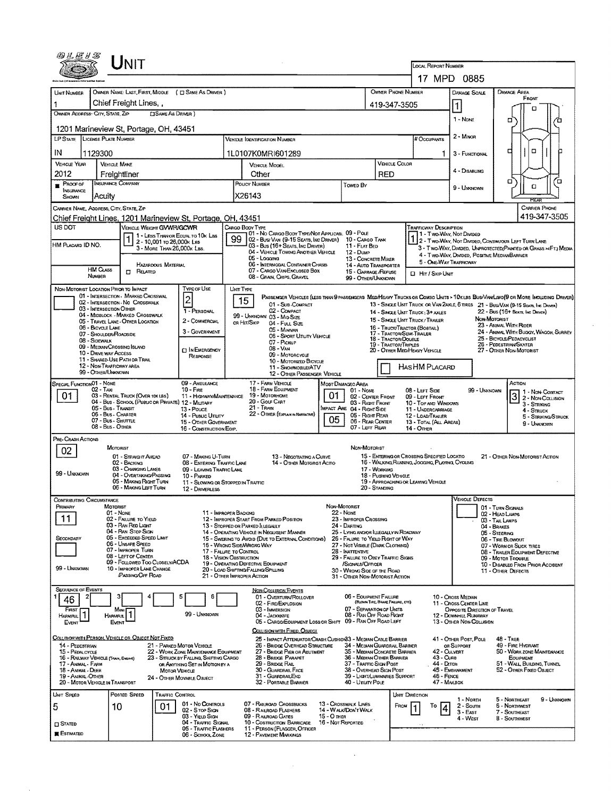| 17 MPD 0885<br>OWNER PHONE NUMBER<br>OWNER NAME: LAST, FIRST, MIDDLE ( C SAME AS DRIVER )<br><b>DAMAGE AREA</b><br>DAMAGE SCALE<br>UNIT NUMBER<br>FRONT<br>Chief Freight Lines,<br>419-347-3505<br>α<br>OWNER ADDRESS: CITY, STATE, ZIP<br><b>CISAME AS DRIVER )</b><br>1 - None<br>□<br>1201 Marineview St, Portage, OH, 43451<br>2 - MINOR<br>LP STATE LICENSE PLATE NUMBER<br>VEHICLE IDENTIFICATION NUMBER<br># Occupants<br>$\Box$<br>о<br>IN<br>1129300<br>1L0107K0MRI601289<br>1<br>3 - FUNCTIONAL<br>VEHICLE COLOR<br><b>VEHICLE YEAR</b><br><b>VEHICLE MAKE</b><br>VEHICLE MODEL<br>4 - DISABLING<br>2012<br>Other<br>RED<br>Freightliner<br>а<br>้ต<br>INSURANCE COMPANY<br>POUCY NUMBER<br>$P$ ROOF OF<br>Towen By<br>a<br>9 - Unknown<br><b>INSURANCE</b><br>X26143<br>Acuity<br><b>SHOWN</b><br><b>REAR</b><br><b>CARRIER PHONE</b><br>CARRIER NAME, ADDRESS, CITY, STATE, ZIP<br>419-347-3505<br>Chief Freight Lines, 1201 Marineview St, Portage, OH, 43451<br>US DOT<br>CARGO BODY TYPE<br><b>TRAFFICWAY DESCRIPTION</b><br>VEHICLE WEIGHT GVWR/GCWR<br>01 - No CARGO BODY TYPE/NOT APPLICABL 09 - POLE<br>1 - Two-Way, Not Divided<br>1 - LESS THAN OR EQUAL TO 10K LBS<br>99<br>02 - Busi Van (9-15 Seats, Inc Driver)<br>10 - Cargo TANK<br>2 - TWO WAY, NOT DIMDED, CONTINUOUS LEFT TURN LANE<br>2 - 10,001 to 26,000x Les<br>HM PLACARD ID NO.<br>03 - Bus (16+ Seats, Inc Driver)<br>11 - FLAT BED<br>3 - MORE THAN 26,000K LBS.<br>3 - Two-WAY, DIVIDED, UNPROTECTED (PAINTED OR GRASS > <ft.) media<br="">04 - VEHICLE TOWING ANOTHER VEHICLE<br/>12 - Dunp<br/>4 - Two-Way, Divided, Positive MedianBarrier<br/>05 - Logging<br/>13 - CONCRETE MIXER<br/>5 - ONE-WAY TRAFFICWAY<br/>06 - INTERMODAL CONTAINER CHASIS<br/>HAZARDOUS MATERIAL<br/><b>14 - AUTO TRANSPORTER</b><br/><b>HM CLASS</b><br/>07 - CARGO VAN ENCLOSED BOX<br/><b>IT RELATED</b><br/>15 - GARBAGE /REFUSE<br/>CI HIT / SKIP UNIT<br/>NUMBER<br/>08 - GRAIN, CHIPS, GRAVEL<br/>99 - OTHER/UNKNOWN<br/>Type or Use<br/>NON-MOTORIST LOCATION PRIOR TO IMPACT<br/>UNIT TYPE<br/>01 - INTERSECTION - MARKED CROSSWAL<br/><math>\vert</math>2<br/>PASSENGER VEHICLES (LESS THAN 9 PASSENGERS MEDIMEANY TRUCKS OR COMBD UNITS &gt; 10x LBS BUS/VAN LIMO(9 OR MORE INCLUDING DRIVER)<br/>15<br/>02 - INTERSECTION - NO CROSSWALK<br/>01 - Sub COMPACT<br/>13 - SINGLE UNIT TRUCK OR VAN ZAXLE, 6 TIRES 21 - BUS/VAN (9-15 SEATS, INC DRIVER)<br/>03 - INTERSECTION OTHER<br/>1 - PERSONAL<br/>02 - COMPACT<br/>22 - Bus (16+ Seats, Ing Draver)<br/>14 - SINGLE UNIT TRUCK: 3+ AXLES<br/>04 - MIDBLOCK - MARKED CROSSWALK<br/>99 - UNKNOWN 03 - MID SIZE<br/>NON-MOTORIST<br/>15 - SINGLE UNIT TRUCK/ TRAILER<br/>2 - COMMERCIAL<br/>05 - TRAVEL LANE - OTHER LOCATION<br/>OR HIT/SKIP<br/>04 - FULL SIZE<br/>23 - ANIMAL WITH RIDER<br/>06 - BICYCLE LANE<br/>16 - Твиск/Твастов (Вовтац)<br/>05 - MANWAN<br/>3 - GOVERNMENT<br/>24 - ANIMAL WITH BUGGY, WAGON, SURREY<br/>17 - Tractor/Semi-Trailer<br/>18 - Tractor/Double<br/>07 - SHOULDER/ROADSIDE<br/>06 - SPORT UTILITY VEHICLE<br/>25 - BICYCLE/PEDACYCLIST<br/>08 - Sidewalk<br/>07 - Pickup<br/>26 - PEDESTRIAN SKATER<br/><b>19 - TRACTOR/TRIPLES</b><br/>09 - MEDIAN CROSSING ISLAND<br/><math>0B - VAN</math><br/><b>CT IN EMERGENCY</b><br/>20 - OTHER MEDIHEAVY VEHICLE<br/>27 - OTHER NON-MOTORIST<br/>10 - DRIVE WAY ACCESS<br/>09 - MOTORCYCLE<br/>RESPONSE<br/>11 - SHARED-USE PATH OR TRAIL<br/>10 - MOTORIZED BICYCLE<br/>12 - NON-TRAFFICWAY AREA<br/>Has HM Placard<br/>11 - SNOWMOBILE/ATV<br/>99 - OTHER/UNKNOWN<br/>12 - OTHER PASSENGER VEHICLE<br/>SPECIAL FUNCTION 01 - NONE<br/>09 - AMBULANCE<br/>17 - FARM VEHICLE<br/>ACTION<br/>Most Damageo Area<br/><b>18 - FARM EQUIPMENT</b><br/>02 - Taxi<br/><math>10 -</math>Fire<br/>99 - UNKNOWN<br/>01 - Nove<br/>08 - LEFT SIDE<br/>1 1 - NON-CONTACT<br/>19 - MOTORHOME<br/>01<br/>01<br/>03 - RENTAL TRUCK (OVER 10K LBS)<br/><math>32</math>-Non-Collision<br/>11 - HIGHWAY/MAINTENANCE<br/>02 - CENTER FRONT<br/>09 - LEFT FRONT<br/>20 - GOUF CART<br/>04 - Bus - SCHOOL (PUBLIC OR PRIVATE) 12 - MILITARY<br/>03 - Right Front<br/>10 - TOP AND WINDOWS<br/>3 - Striking<br/><math>21 -</math>Train<br/>05 - Bus - Transit<br/>IMPACT ARE 04 - RIGHT SIDE<br/>13 - Pouce<br/>11 - UNDERCARRIAGE<br/>4 - STRUCK<br/>22 - OTHER (EXPLAN IN MARIATIVE)<br/>06 - Bus - Charter<br/>05 - Right REAR<br/>14 Public Unitry<br/>12 - LOAD/TRAILER<br/>5 - STRIKING/STRUCK<br/>05<br/>07 - Bus - Shurrne<br/>06 - REAR CENTER<br/>15 - OTHER GOVERNMENT<br/>13 - TOTAL (ALL AREAS)<br/>9 - UNKNOWN<br/>08 - Bus - Other<br/>07 - LEFT REAR<br/>16 - CONSTRUCTION EOIP.<br/>14 - Отнев<br/>PRE-CRASH ACTIONS<br/>MOTORIST<br/>Non-Motorist<br/>02<br/>15 - ENTERING OR CROSSING SPECIFIED LOCATIO<br/>01 - STRAIGHT ANEAD<br/>07 - MAKING U-TURN<br/>13 - Negotiating a Curve<br/>21 - OTHER NON-MOTORIST ACTION<br/>16 - WALKING, RUMNING, JOCGING, PLAYING, CYCLING<br/>14 - OTHER MOTORIST ACTIO<br/>02 - BACKING<br/>08 - ENTERING TRAFFIC LANE<br/>03 - CHANGING LANES<br/>09 - LEAVING TRAFFIC LANE<br/>17 - WORKING<br/>99 - Unknown<br/>04 - OVERTAKING/PASSING<br/>18 - Pushing VEHICLE<br/>10 - PARKED<br/>05 - MAKING RIGHT TURN<br/>19 - APPROACHING OR LEAVING VEHICLE<br/>11 - SLOWING OR STOPPED IN TRAFFIC<br/>06 - MAKING LEFT TURN<br/>20 - STANDING<br/>12 - DRIVERLESS<br/><b>VEHICLE DEFECTS</b><br/><b>CONTRIBUTING CIRCUMSTANCE</b><br/>Primary<br/>MOTORIST<br/>NON-MOTORIST<br/>01 - TURN SIGNALS<br/>01 - NONE<br/>11 - IMPROPER BACKING<br/><b>22 - None</b><br/>02 - HEAD LAMPS<br/>11<br/>02 - FAILURE TO YIELD<br/>12 - IMPROPER START FROM PARKED POSITION<br/>23 - IMPROPER CROSSING<br/>03 - TAIL LAMPS<br/>03 - RAN RED LIGHT<br/>24 - DARTING<br/>13 - Stopped or Parked LLEGALLY<br/>04 - BRAKES<br/>04 - RAN STOP SIGN<br/>14 - OPERATING VEHICLE IN NEGLIGENT MANNER<br/>25 - LYING AND/OR LLEGALLY IN ROADWAY<br/>05 - STEERING<br/>05 - Exceeded Speed Limit<br/>SECONDARY<br/>15 - SWERING TO AVOID (DUE TO EXTERNAL CONDITIONS)<br/>26 - FALURE TO YIELD RIGHT OF WAY<br/>06 - TIRE BLOWOUT<br/>06 - UNSAFE SPEED<br/>15 - WRONG SIDE/WRONG WAY<br/>27 - NOT VISIBLE (DARK CLOTHING)<br/>07 - WORN OR SLICK TIRES<br/>07 - IMPROPER TURN<br/>17 - FALURE TO CONTROL<br/>28 - INATTENTIVE<br/>08 - TRAILER EQUIPMENT DEFECTIVE<br/>08 - LEFT OF CENTER<br/>18 - Vision OBSTRUCTION<br/>29 - FAILURE TO OBEY TRAFFIC SIGNS<br/>09 - MOTOR TROUBLE<br/>09 - FOLLOWED TOO CLOSELY/ACDA<br/>19 - OPERATING DEFECTIVE EQUIPMENT<br/>/Signal s/Officer<br/>10 - DISABLED FROM PRIOR ACCIDENT<br/>99 - Unknown<br/>10 - IMPROPER LANE CHANGE<br/>20 - LOAD SHIFTING/FALLING/SPILLING<br/>30 - WRONG SIDE OF THE ROAD<br/>11 - Other Defects<br/>(Passing Off Road<br/>21 - OTHER IMPROPER ACTION<br/>31 - OTHER NON-MOTORIST ACTION<br/><b>SEQUENCE OF EVENTS</b><br/><b>NON-COLLISION EVENTS</b><br/>06 - EQUIPMENT FALURE<br/>5<br/>6<br/>01 - OVERTURN/ROLLOVER<br/>10 - Cross Median<br/>46<br/>(BLOWN TIRE, BRAKE FAILURE, ETC)<br/>02 - FIRE/EXPLOSION<br/>11 - Cross Center Line<br/>07 - SEPARATION OF UNITS<br/>FIRST<br/>03 - IMMERSION<br/>OPPOSITE DIRECTION OF TRAVEL<br/>Most<br/>99 - UNKNOWN<br/>08 - RAN OFF ROAD RIGHT<br/>04 - JACKKNIFE<br/>12 - DOWNHILL RUNAWAY<br/>Harmpul<br/>Harmful<br/>05 - CARGO/EQUIPMENT LOSS OR SHIFT 09 - RAN OFF ROAD LEFT<br/>13 - OTHER NON-COLLISION<br/>Event<br/>EVENT<br/>COLLISION WITH FIXED, OBJECT<br/>COLLISION WITH PERSON, VEHICLE OR OBJECT NOT FIXED<br/>25 - Impact Attenuator/Crash Cushion33 - Median Cable Barrier<br/>41 - OTHER POST, POLE<br/><math>48 -</math>TREE<br/>21 - PARKED MOTOR VEHICLE<br/>26 - BRIDGE OVERHEAD STRUCTURE<br/>34 - MEDIAN GUARDRAIL BARRIER<br/>OR SUPPORT<br/>49 - Fire Hydrant<br/>14 - PEDESTRIAN<br/>27 - Bridge Pier or Abutment<br/>35 - MEDIAN CONCRETE BARRIER<br/>50 - WORK ZONE MAINTENANCE<br/>15 - PEDALCYCLE<br/>22 - WORK ZONE MAINTENANCE EQUIPMENT<br/>42 - CULVERT<br/>28 - Bridge Parapet<br/>36 - MEDIAN OTHER BARRIER<br/>43 - Cuns<br/>16 - RAILWAY VEHICLE (TRAIN, ENGINE)<br/>23 - STRUCK BY FALLING, SHIFTING CARGO<br/>EOUPMENT<br/>37 - TRAFFIC SIGN POST<br/>44 - Олон<br/>51 - WALL BUILDING, TUNNEL<br/>17 - Animal - Farm<br/>29 - Bridge Rail<br/>OR ANYTHING SET IN MOTION BY A<br/>30 - GUARDRAIL FACE<br/>38 - OVERHEAD SIGN POST<br/>45 - EMBANKMENT<br/>52 - OTHER FIXED OBJECT<br/>18 - Ammal - Deer<br/><b>MOTOR VEHICLE</b><br/>19 - ANIMAL-OTHER<br/>31 - Guardral End<br/>39 - LIGHT/LUMINARIES SUPPORT<br/>46 - FENCE<br/>24 - OTHER MOVABLE OBJECT<br/>32 - PORTABLE BARRIER<br/>40 - Unury Pous<br/>47 - MAILBOX<br/>20 - MOTOR VEHICLE IN TRANSPORT<br/>UNIT SPEED<br/>Posted Speed<br/>TRAFFIC CONTROL<br/>UNIT DIRECTION<br/>1 - North<br/>5 - NORTHEAST<br/>9 - Unknown<br/>01 - No CONTROLS<br/>07 - RAILROAD CROSSBUCKS<br/>13 - Crosswalk Lines<br/><b>6 - NORTHWEST</b><br/>10<br/>01<br/>FROM<br/><math>2 -</math>South<br/>5<br/>То<br/>02 - S rop Sign<br/>08 - RAILROAD FLASHERS<br/>14 - WALK/DON'T WALK<br/><math>3 - EAST</math><br/>7 - SOUTHEAST<br/>03 - YIELD SIGN<br/>09 - RAILROAD GATES<br/>15 - О тнев<br/>4 - West<br/>8 - Southwest<br/>04 - TRAFFIC SIGNAL<br/>10 - Costruction Barricade<br/>16 - Not Reported<br/><math>\square</math> Stated<br/>05 - TRAFFIC FLASHERS<br/>11 - PERSON (FLAGGER, OFFICER<br/><b>R</b> Estimated<br/>06 - SCHOOL ZONE<br/><b>12 - PAVEMENT MARKINGS</b></ft.)> | 细红怪牙客 |  | NIT |  |  |  |  |  |  |  |  | LOCAL REPORT NUMBER |  |  |  |  |  |  |
|------------------------------------------------------------------------------------------------------------------------------------------------------------------------------------------------------------------------------------------------------------------------------------------------------------------------------------------------------------------------------------------------------------------------------------------------------------------------------------------------------------------------------------------------------------------------------------------------------------------------------------------------------------------------------------------------------------------------------------------------------------------------------------------------------------------------------------------------------------------------------------------------------------------------------------------------------------------------------------------------------------------------------------------------------------------------------------------------------------------------------------------------------------------------------------------------------------------------------------------------------------------------------------------------------------------------------------------------------------------------------------------------------------------------------------------------------------------------------------------------------------------------------------------------------------------------------------------------------------------------------------------------------------------------------------------------------------------------------------------------------------------------------------------------------------------------------------------------------------------------------------------------------------------------------------------------------------------------------------------------------------------------------------------------------------------------------------------------------------------------------------------------------------------------------------------------------------------------------------------------------------------------------------------------------------------------------------------------------------------------------------------------------------------------------------------------------------------------------------------------------------------------------------------------------------------------------------------------------------------------------------------------------------------------------------------------------------------------------------------------------------------------------------------------------------------------------------------------------------------------------------------------------------------------------------------------------------------------------------------------------------------------------------------------------------------------------------------------------------------------------------------------------------------------------------------------------------------------------------------------------------------------------------------------------------------------------------------------------------------------------------------------------------------------------------------------------------------------------------------------------------------------------------------------------------------------------------------------------------------------------------------------------------------------------------------------------------------------------------------------------------------------------------------------------------------------------------------------------------------------------------------------------------------------------------------------------------------------------------------------------------------------------------------------------------------------------------------------------------------------------------------------------------------------------------------------------------------------------------------------------------------------------------------------------------------------------------------------------------------------------------------------------------------------------------------------------------------------------------------------------------------------------------------------------------------------------------------------------------------------------------------------------------------------------------------------------------------------------------------------------------------------------------------------------------------------------------------------------------------------------------------------------------------------------------------------------------------------------------------------------------------------------------------------------------------------------------------------------------------------------------------------------------------------------------------------------------------------------------------------------------------------------------------------------------------------------------------------------------------------------------------------------------------------------------------------------------------------------------------------------------------------------------------------------------------------------------------------------------------------------------------------------------------------------------------------------------------------------------------------------------------------------------------------------------------------------------------------------------------------------------------------------------------------------------------------------------------------------------------------------------------------------------------------------------------------------------------------------------------------------------------------------------------------------------------------------------------------------------------------------------------------------------------------------------------------------------------------------------------------------------------------------------------------------------------------------------------------------------------------------------------------------------------------------------------------------------------------------------------------------------------------------------------------------------------------------------------------------------------------------------------------------------------------------------------------------------------------------------------------------------------------------------------------------------------------------------------------------------------------------------------------------------------------------------------------------------------------------------------------------------------------------------------------------------------------------------------------------------------------------------------------------------------------------------------------------------------------------------------------------------------------------------------------------------------------------------------------------------------------------------------------------------------------------------------------------------------------------------------------------------------------------------------------------------------------------------------------------------------------------------------------------------------------------------------------------------------------------------------------------------------------------------------------------------------------------------------------------------------------------------------------------------------------------------------------------------------------------------------------------------------------------------------------------------------------------------------------------------------------------------------------------------------------------------------------------------------------------------------------------------------------------------------------------------------------------------------------------------------------------------------------------------------------------------------------------------------------------------------------------------------------------------------------------------------------------------------------------------------------------------------------------------------------------------------------------------------------------------------------------------------------------------------------------------------------------------------------------------------------------------------------------------------------------------------------------------------------------------------------------------------------------------------------------------------------------------------------------------------------------------------------------------------------------------------------------------------------------------------------------------------------------------------------------------------------------------------------------------------------------------------------------|-------|--|-----|--|--|--|--|--|--|--|--|---------------------|--|--|--|--|--|--|
|                                                                                                                                                                                                                                                                                                                                                                                                                                                                                                                                                                                                                                                                                                                                                                                                                                                                                                                                                                                                                                                                                                                                                                                                                                                                                                                                                                                                                                                                                                                                                                                                                                                                                                                                                                                                                                                                                                                                                                                                                                                                                                                                                                                                                                                                                                                                                                                                                                                                                                                                                                                                                                                                                                                                                                                                                                                                                                                                                                                                                                                                                                                                                                                                                                                                                                                                                                                                                                                                                                                                                                                                                                                                                                                                                                                                                                                                                                                                                                                                                                                                                                                                                                                                                                                                                                                                                                                                                                                                                                                                                                                                                                                                                                                                                                                                                                                                                                                                                                                                                                                                                                                                                                                                                                                                                                                                                                                                                                                                                                                                                                                                                                                                                                                                                                                                                                                                                                                                                                                                                                                                                                                                                                                                                                                                                                                                                                                                                                                                                                                                                                                                                                                                                                                                                                                                                                                                                                                                                                                                                                                                                                                                                                                                                                                                                                                                                                                                                                                                                                                                                                                                                                                                                                                                                                                                                                                                                                                                                                                                                                                                                                                                                                                                                                                                                                                                                                                                                                                                                                                                                                                                                                                                                                                                                                                                                                                                                                                                                                                                                                                                                                                                                                                                                                                                                                                                                                                                                                                                                                                              |       |  |     |  |  |  |  |  |  |  |  |                     |  |  |  |  |  |  |
|                                                                                                                                                                                                                                                                                                                                                                                                                                                                                                                                                                                                                                                                                                                                                                                                                                                                                                                                                                                                                                                                                                                                                                                                                                                                                                                                                                                                                                                                                                                                                                                                                                                                                                                                                                                                                                                                                                                                                                                                                                                                                                                                                                                                                                                                                                                                                                                                                                                                                                                                                                                                                                                                                                                                                                                                                                                                                                                                                                                                                                                                                                                                                                                                                                                                                                                                                                                                                                                                                                                                                                                                                                                                                                                                                                                                                                                                                                                                                                                                                                                                                                                                                                                                                                                                                                                                                                                                                                                                                                                                                                                                                                                                                                                                                                                                                                                                                                                                                                                                                                                                                                                                                                                                                                                                                                                                                                                                                                                                                                                                                                                                                                                                                                                                                                                                                                                                                                                                                                                                                                                                                                                                                                                                                                                                                                                                                                                                                                                                                                                                                                                                                                                                                                                                                                                                                                                                                                                                                                                                                                                                                                                                                                                                                                                                                                                                                                                                                                                                                                                                                                                                                                                                                                                                                                                                                                                                                                                                                                                                                                                                                                                                                                                                                                                                                                                                                                                                                                                                                                                                                                                                                                                                                                                                                                                                                                                                                                                                                                                                                                                                                                                                                                                                                                                                                                                                                                                                                                                                                                                              |       |  |     |  |  |  |  |  |  |  |  |                     |  |  |  |  |  |  |
|                                                                                                                                                                                                                                                                                                                                                                                                                                                                                                                                                                                                                                                                                                                                                                                                                                                                                                                                                                                                                                                                                                                                                                                                                                                                                                                                                                                                                                                                                                                                                                                                                                                                                                                                                                                                                                                                                                                                                                                                                                                                                                                                                                                                                                                                                                                                                                                                                                                                                                                                                                                                                                                                                                                                                                                                                                                                                                                                                                                                                                                                                                                                                                                                                                                                                                                                                                                                                                                                                                                                                                                                                                                                                                                                                                                                                                                                                                                                                                                                                                                                                                                                                                                                                                                                                                                                                                                                                                                                                                                                                                                                                                                                                                                                                                                                                                                                                                                                                                                                                                                                                                                                                                                                                                                                                                                                                                                                                                                                                                                                                                                                                                                                                                                                                                                                                                                                                                                                                                                                                                                                                                                                                                                                                                                                                                                                                                                                                                                                                                                                                                                                                                                                                                                                                                                                                                                                                                                                                                                                                                                                                                                                                                                                                                                                                                                                                                                                                                                                                                                                                                                                                                                                                                                                                                                                                                                                                                                                                                                                                                                                                                                                                                                                                                                                                                                                                                                                                                                                                                                                                                                                                                                                                                                                                                                                                                                                                                                                                                                                                                                                                                                                                                                                                                                                                                                                                                                                                                                                                                                              |       |  |     |  |  |  |  |  |  |  |  |                     |  |  |  |  |  |  |
|                                                                                                                                                                                                                                                                                                                                                                                                                                                                                                                                                                                                                                                                                                                                                                                                                                                                                                                                                                                                                                                                                                                                                                                                                                                                                                                                                                                                                                                                                                                                                                                                                                                                                                                                                                                                                                                                                                                                                                                                                                                                                                                                                                                                                                                                                                                                                                                                                                                                                                                                                                                                                                                                                                                                                                                                                                                                                                                                                                                                                                                                                                                                                                                                                                                                                                                                                                                                                                                                                                                                                                                                                                                                                                                                                                                                                                                                                                                                                                                                                                                                                                                                                                                                                                                                                                                                                                                                                                                                                                                                                                                                                                                                                                                                                                                                                                                                                                                                                                                                                                                                                                                                                                                                                                                                                                                                                                                                                                                                                                                                                                                                                                                                                                                                                                                                                                                                                                                                                                                                                                                                                                                                                                                                                                                                                                                                                                                                                                                                                                                                                                                                                                                                                                                                                                                                                                                                                                                                                                                                                                                                                                                                                                                                                                                                                                                                                                                                                                                                                                                                                                                                                                                                                                                                                                                                                                                                                                                                                                                                                                                                                                                                                                                                                                                                                                                                                                                                                                                                                                                                                                                                                                                                                                                                                                                                                                                                                                                                                                                                                                                                                                                                                                                                                                                                                                                                                                                                                                                                                                                              |       |  |     |  |  |  |  |  |  |  |  |                     |  |  |  |  |  |  |
|                                                                                                                                                                                                                                                                                                                                                                                                                                                                                                                                                                                                                                                                                                                                                                                                                                                                                                                                                                                                                                                                                                                                                                                                                                                                                                                                                                                                                                                                                                                                                                                                                                                                                                                                                                                                                                                                                                                                                                                                                                                                                                                                                                                                                                                                                                                                                                                                                                                                                                                                                                                                                                                                                                                                                                                                                                                                                                                                                                                                                                                                                                                                                                                                                                                                                                                                                                                                                                                                                                                                                                                                                                                                                                                                                                                                                                                                                                                                                                                                                                                                                                                                                                                                                                                                                                                                                                                                                                                                                                                                                                                                                                                                                                                                                                                                                                                                                                                                                                                                                                                                                                                                                                                                                                                                                                                                                                                                                                                                                                                                                                                                                                                                                                                                                                                                                                                                                                                                                                                                                                                                                                                                                                                                                                                                                                                                                                                                                                                                                                                                                                                                                                                                                                                                                                                                                                                                                                                                                                                                                                                                                                                                                                                                                                                                                                                                                                                                                                                                                                                                                                                                                                                                                                                                                                                                                                                                                                                                                                                                                                                                                                                                                                                                                                                                                                                                                                                                                                                                                                                                                                                                                                                                                                                                                                                                                                                                                                                                                                                                                                                                                                                                                                                                                                                                                                                                                                                                                                                                                                                              |       |  |     |  |  |  |  |  |  |  |  |                     |  |  |  |  |  |  |
|                                                                                                                                                                                                                                                                                                                                                                                                                                                                                                                                                                                                                                                                                                                                                                                                                                                                                                                                                                                                                                                                                                                                                                                                                                                                                                                                                                                                                                                                                                                                                                                                                                                                                                                                                                                                                                                                                                                                                                                                                                                                                                                                                                                                                                                                                                                                                                                                                                                                                                                                                                                                                                                                                                                                                                                                                                                                                                                                                                                                                                                                                                                                                                                                                                                                                                                                                                                                                                                                                                                                                                                                                                                                                                                                                                                                                                                                                                                                                                                                                                                                                                                                                                                                                                                                                                                                                                                                                                                                                                                                                                                                                                                                                                                                                                                                                                                                                                                                                                                                                                                                                                                                                                                                                                                                                                                                                                                                                                                                                                                                                                                                                                                                                                                                                                                                                                                                                                                                                                                                                                                                                                                                                                                                                                                                                                                                                                                                                                                                                                                                                                                                                                                                                                                                                                                                                                                                                                                                                                                                                                                                                                                                                                                                                                                                                                                                                                                                                                                                                                                                                                                                                                                                                                                                                                                                                                                                                                                                                                                                                                                                                                                                                                                                                                                                                                                                                                                                                                                                                                                                                                                                                                                                                                                                                                                                                                                                                                                                                                                                                                                                                                                                                                                                                                                                                                                                                                                                                                                                                                                              |       |  |     |  |  |  |  |  |  |  |  |                     |  |  |  |  |  |  |
|                                                                                                                                                                                                                                                                                                                                                                                                                                                                                                                                                                                                                                                                                                                                                                                                                                                                                                                                                                                                                                                                                                                                                                                                                                                                                                                                                                                                                                                                                                                                                                                                                                                                                                                                                                                                                                                                                                                                                                                                                                                                                                                                                                                                                                                                                                                                                                                                                                                                                                                                                                                                                                                                                                                                                                                                                                                                                                                                                                                                                                                                                                                                                                                                                                                                                                                                                                                                                                                                                                                                                                                                                                                                                                                                                                                                                                                                                                                                                                                                                                                                                                                                                                                                                                                                                                                                                                                                                                                                                                                                                                                                                                                                                                                                                                                                                                                                                                                                                                                                                                                                                                                                                                                                                                                                                                                                                                                                                                                                                                                                                                                                                                                                                                                                                                                                                                                                                                                                                                                                                                                                                                                                                                                                                                                                                                                                                                                                                                                                                                                                                                                                                                                                                                                                                                                                                                                                                                                                                                                                                                                                                                                                                                                                                                                                                                                                                                                                                                                                                                                                                                                                                                                                                                                                                                                                                                                                                                                                                                                                                                                                                                                                                                                                                                                                                                                                                                                                                                                                                                                                                                                                                                                                                                                                                                                                                                                                                                                                                                                                                                                                                                                                                                                                                                                                                                                                                                                                                                                                                                                              |       |  |     |  |  |  |  |  |  |  |  |                     |  |  |  |  |  |  |
|                                                                                                                                                                                                                                                                                                                                                                                                                                                                                                                                                                                                                                                                                                                                                                                                                                                                                                                                                                                                                                                                                                                                                                                                                                                                                                                                                                                                                                                                                                                                                                                                                                                                                                                                                                                                                                                                                                                                                                                                                                                                                                                                                                                                                                                                                                                                                                                                                                                                                                                                                                                                                                                                                                                                                                                                                                                                                                                                                                                                                                                                                                                                                                                                                                                                                                                                                                                                                                                                                                                                                                                                                                                                                                                                                                                                                                                                                                                                                                                                                                                                                                                                                                                                                                                                                                                                                                                                                                                                                                                                                                                                                                                                                                                                                                                                                                                                                                                                                                                                                                                                                                                                                                                                                                                                                                                                                                                                                                                                                                                                                                                                                                                                                                                                                                                                                                                                                                                                                                                                                                                                                                                                                                                                                                                                                                                                                                                                                                                                                                                                                                                                                                                                                                                                                                                                                                                                                                                                                                                                                                                                                                                                                                                                                                                                                                                                                                                                                                                                                                                                                                                                                                                                                                                                                                                                                                                                                                                                                                                                                                                                                                                                                                                                                                                                                                                                                                                                                                                                                                                                                                                                                                                                                                                                                                                                                                                                                                                                                                                                                                                                                                                                                                                                                                                                                                                                                                                                                                                                                                                              |       |  |     |  |  |  |  |  |  |  |  |                     |  |  |  |  |  |  |
|                                                                                                                                                                                                                                                                                                                                                                                                                                                                                                                                                                                                                                                                                                                                                                                                                                                                                                                                                                                                                                                                                                                                                                                                                                                                                                                                                                                                                                                                                                                                                                                                                                                                                                                                                                                                                                                                                                                                                                                                                                                                                                                                                                                                                                                                                                                                                                                                                                                                                                                                                                                                                                                                                                                                                                                                                                                                                                                                                                                                                                                                                                                                                                                                                                                                                                                                                                                                                                                                                                                                                                                                                                                                                                                                                                                                                                                                                                                                                                                                                                                                                                                                                                                                                                                                                                                                                                                                                                                                                                                                                                                                                                                                                                                                                                                                                                                                                                                                                                                                                                                                                                                                                                                                                                                                                                                                                                                                                                                                                                                                                                                                                                                                                                                                                                                                                                                                                                                                                                                                                                                                                                                                                                                                                                                                                                                                                                                                                                                                                                                                                                                                                                                                                                                                                                                                                                                                                                                                                                                                                                                                                                                                                                                                                                                                                                                                                                                                                                                                                                                                                                                                                                                                                                                                                                                                                                                                                                                                                                                                                                                                                                                                                                                                                                                                                                                                                                                                                                                                                                                                                                                                                                                                                                                                                                                                                                                                                                                                                                                                                                                                                                                                                                                                                                                                                                                                                                                                                                                                                                                              |       |  |     |  |  |  |  |  |  |  |  |                     |  |  |  |  |  |  |
|                                                                                                                                                                                                                                                                                                                                                                                                                                                                                                                                                                                                                                                                                                                                                                                                                                                                                                                                                                                                                                                                                                                                                                                                                                                                                                                                                                                                                                                                                                                                                                                                                                                                                                                                                                                                                                                                                                                                                                                                                                                                                                                                                                                                                                                                                                                                                                                                                                                                                                                                                                                                                                                                                                                                                                                                                                                                                                                                                                                                                                                                                                                                                                                                                                                                                                                                                                                                                                                                                                                                                                                                                                                                                                                                                                                                                                                                                                                                                                                                                                                                                                                                                                                                                                                                                                                                                                                                                                                                                                                                                                                                                                                                                                                                                                                                                                                                                                                                                                                                                                                                                                                                                                                                                                                                                                                                                                                                                                                                                                                                                                                                                                                                                                                                                                                                                                                                                                                                                                                                                                                                                                                                                                                                                                                                                                                                                                                                                                                                                                                                                                                                                                                                                                                                                                                                                                                                                                                                                                                                                                                                                                                                                                                                                                                                                                                                                                                                                                                                                                                                                                                                                                                                                                                                                                                                                                                                                                                                                                                                                                                                                                                                                                                                                                                                                                                                                                                                                                                                                                                                                                                                                                                                                                                                                                                                                                                                                                                                                                                                                                                                                                                                                                                                                                                                                                                                                                                                                                                                                                                              |       |  |     |  |  |  |  |  |  |  |  |                     |  |  |  |  |  |  |
|                                                                                                                                                                                                                                                                                                                                                                                                                                                                                                                                                                                                                                                                                                                                                                                                                                                                                                                                                                                                                                                                                                                                                                                                                                                                                                                                                                                                                                                                                                                                                                                                                                                                                                                                                                                                                                                                                                                                                                                                                                                                                                                                                                                                                                                                                                                                                                                                                                                                                                                                                                                                                                                                                                                                                                                                                                                                                                                                                                                                                                                                                                                                                                                                                                                                                                                                                                                                                                                                                                                                                                                                                                                                                                                                                                                                                                                                                                                                                                                                                                                                                                                                                                                                                                                                                                                                                                                                                                                                                                                                                                                                                                                                                                                                                                                                                                                                                                                                                                                                                                                                                                                                                                                                                                                                                                                                                                                                                                                                                                                                                                                                                                                                                                                                                                                                                                                                                                                                                                                                                                                                                                                                                                                                                                                                                                                                                                                                                                                                                                                                                                                                                                                                                                                                                                                                                                                                                                                                                                                                                                                                                                                                                                                                                                                                                                                                                                                                                                                                                                                                                                                                                                                                                                                                                                                                                                                                                                                                                                                                                                                                                                                                                                                                                                                                                                                                                                                                                                                                                                                                                                                                                                                                                                                                                                                                                                                                                                                                                                                                                                                                                                                                                                                                                                                                                                                                                                                                                                                                                                                              |       |  |     |  |  |  |  |  |  |  |  |                     |  |  |  |  |  |  |
|                                                                                                                                                                                                                                                                                                                                                                                                                                                                                                                                                                                                                                                                                                                                                                                                                                                                                                                                                                                                                                                                                                                                                                                                                                                                                                                                                                                                                                                                                                                                                                                                                                                                                                                                                                                                                                                                                                                                                                                                                                                                                                                                                                                                                                                                                                                                                                                                                                                                                                                                                                                                                                                                                                                                                                                                                                                                                                                                                                                                                                                                                                                                                                                                                                                                                                                                                                                                                                                                                                                                                                                                                                                                                                                                                                                                                                                                                                                                                                                                                                                                                                                                                                                                                                                                                                                                                                                                                                                                                                                                                                                                                                                                                                                                                                                                                                                                                                                                                                                                                                                                                                                                                                                                                                                                                                                                                                                                                                                                                                                                                                                                                                                                                                                                                                                                                                                                                                                                                                                                                                                                                                                                                                                                                                                                                                                                                                                                                                                                                                                                                                                                                                                                                                                                                                                                                                                                                                                                                                                                                                                                                                                                                                                                                                                                                                                                                                                                                                                                                                                                                                                                                                                                                                                                                                                                                                                                                                                                                                                                                                                                                                                                                                                                                                                                                                                                                                                                                                                                                                                                                                                                                                                                                                                                                                                                                                                                                                                                                                                                                                                                                                                                                                                                                                                                                                                                                                                                                                                                                                                              |       |  |     |  |  |  |  |  |  |  |  |                     |  |  |  |  |  |  |
|                                                                                                                                                                                                                                                                                                                                                                                                                                                                                                                                                                                                                                                                                                                                                                                                                                                                                                                                                                                                                                                                                                                                                                                                                                                                                                                                                                                                                                                                                                                                                                                                                                                                                                                                                                                                                                                                                                                                                                                                                                                                                                                                                                                                                                                                                                                                                                                                                                                                                                                                                                                                                                                                                                                                                                                                                                                                                                                                                                                                                                                                                                                                                                                                                                                                                                                                                                                                                                                                                                                                                                                                                                                                                                                                                                                                                                                                                                                                                                                                                                                                                                                                                                                                                                                                                                                                                                                                                                                                                                                                                                                                                                                                                                                                                                                                                                                                                                                                                                                                                                                                                                                                                                                                                                                                                                                                                                                                                                                                                                                                                                                                                                                                                                                                                                                                                                                                                                                                                                                                                                                                                                                                                                                                                                                                                                                                                                                                                                                                                                                                                                                                                                                                                                                                                                                                                                                                                                                                                                                                                                                                                                                                                                                                                                                                                                                                                                                                                                                                                                                                                                                                                                                                                                                                                                                                                                                                                                                                                                                                                                                                                                                                                                                                                                                                                                                                                                                                                                                                                                                                                                                                                                                                                                                                                                                                                                                                                                                                                                                                                                                                                                                                                                                                                                                                                                                                                                                                                                                                                                                              |       |  |     |  |  |  |  |  |  |  |  |                     |  |  |  |  |  |  |
|                                                                                                                                                                                                                                                                                                                                                                                                                                                                                                                                                                                                                                                                                                                                                                                                                                                                                                                                                                                                                                                                                                                                                                                                                                                                                                                                                                                                                                                                                                                                                                                                                                                                                                                                                                                                                                                                                                                                                                                                                                                                                                                                                                                                                                                                                                                                                                                                                                                                                                                                                                                                                                                                                                                                                                                                                                                                                                                                                                                                                                                                                                                                                                                                                                                                                                                                                                                                                                                                                                                                                                                                                                                                                                                                                                                                                                                                                                                                                                                                                                                                                                                                                                                                                                                                                                                                                                                                                                                                                                                                                                                                                                                                                                                                                                                                                                                                                                                                                                                                                                                                                                                                                                                                                                                                                                                                                                                                                                                                                                                                                                                                                                                                                                                                                                                                                                                                                                                                                                                                                                                                                                                                                                                                                                                                                                                                                                                                                                                                                                                                                                                                                                                                                                                                                                                                                                                                                                                                                                                                                                                                                                                                                                                                                                                                                                                                                                                                                                                                                                                                                                                                                                                                                                                                                                                                                                                                                                                                                                                                                                                                                                                                                                                                                                                                                                                                                                                                                                                                                                                                                                                                                                                                                                                                                                                                                                                                                                                                                                                                                                                                                                                                                                                                                                                                                                                                                                                                                                                                                                                              |       |  |     |  |  |  |  |  |  |  |  |                     |  |  |  |  |  |  |
|                                                                                                                                                                                                                                                                                                                                                                                                                                                                                                                                                                                                                                                                                                                                                                                                                                                                                                                                                                                                                                                                                                                                                                                                                                                                                                                                                                                                                                                                                                                                                                                                                                                                                                                                                                                                                                                                                                                                                                                                                                                                                                                                                                                                                                                                                                                                                                                                                                                                                                                                                                                                                                                                                                                                                                                                                                                                                                                                                                                                                                                                                                                                                                                                                                                                                                                                                                                                                                                                                                                                                                                                                                                                                                                                                                                                                                                                                                                                                                                                                                                                                                                                                                                                                                                                                                                                                                                                                                                                                                                                                                                                                                                                                                                                                                                                                                                                                                                                                                                                                                                                                                                                                                                                                                                                                                                                                                                                                                                                                                                                                                                                                                                                                                                                                                                                                                                                                                                                                                                                                                                                                                                                                                                                                                                                                                                                                                                                                                                                                                                                                                                                                                                                                                                                                                                                                                                                                                                                                                                                                                                                                                                                                                                                                                                                                                                                                                                                                                                                                                                                                                                                                                                                                                                                                                                                                                                                                                                                                                                                                                                                                                                                                                                                                                                                                                                                                                                                                                                                                                                                                                                                                                                                                                                                                                                                                                                                                                                                                                                                                                                                                                                                                                                                                                                                                                                                                                                                                                                                                                                              |       |  |     |  |  |  |  |  |  |  |  |                     |  |  |  |  |  |  |
|                                                                                                                                                                                                                                                                                                                                                                                                                                                                                                                                                                                                                                                                                                                                                                                                                                                                                                                                                                                                                                                                                                                                                                                                                                                                                                                                                                                                                                                                                                                                                                                                                                                                                                                                                                                                                                                                                                                                                                                                                                                                                                                                                                                                                                                                                                                                                                                                                                                                                                                                                                                                                                                                                                                                                                                                                                                                                                                                                                                                                                                                                                                                                                                                                                                                                                                                                                                                                                                                                                                                                                                                                                                                                                                                                                                                                                                                                                                                                                                                                                                                                                                                                                                                                                                                                                                                                                                                                                                                                                                                                                                                                                                                                                                                                                                                                                                                                                                                                                                                                                                                                                                                                                                                                                                                                                                                                                                                                                                                                                                                                                                                                                                                                                                                                                                                                                                                                                                                                                                                                                                                                                                                                                                                                                                                                                                                                                                                                                                                                                                                                                                                                                                                                                                                                                                                                                                                                                                                                                                                                                                                                                                                                                                                                                                                                                                                                                                                                                                                                                                                                                                                                                                                                                                                                                                                                                                                                                                                                                                                                                                                                                                                                                                                                                                                                                                                                                                                                                                                                                                                                                                                                                                                                                                                                                                                                                                                                                                                                                                                                                                                                                                                                                                                                                                                                                                                                                                                                                                                                                                              |       |  |     |  |  |  |  |  |  |  |  |                     |  |  |  |  |  |  |
|                                                                                                                                                                                                                                                                                                                                                                                                                                                                                                                                                                                                                                                                                                                                                                                                                                                                                                                                                                                                                                                                                                                                                                                                                                                                                                                                                                                                                                                                                                                                                                                                                                                                                                                                                                                                                                                                                                                                                                                                                                                                                                                                                                                                                                                                                                                                                                                                                                                                                                                                                                                                                                                                                                                                                                                                                                                                                                                                                                                                                                                                                                                                                                                                                                                                                                                                                                                                                                                                                                                                                                                                                                                                                                                                                                                                                                                                                                                                                                                                                                                                                                                                                                                                                                                                                                                                                                                                                                                                                                                                                                                                                                                                                                                                                                                                                                                                                                                                                                                                                                                                                                                                                                                                                                                                                                                                                                                                                                                                                                                                                                                                                                                                                                                                                                                                                                                                                                                                                                                                                                                                                                                                                                                                                                                                                                                                                                                                                                                                                                                                                                                                                                                                                                                                                                                                                                                                                                                                                                                                                                                                                                                                                                                                                                                                                                                                                                                                                                                                                                                                                                                                                                                                                                                                                                                                                                                                                                                                                                                                                                                                                                                                                                                                                                                                                                                                                                                                                                                                                                                                                                                                                                                                                                                                                                                                                                                                                                                                                                                                                                                                                                                                                                                                                                                                                                                                                                                                                                                                                                                              |       |  |     |  |  |  |  |  |  |  |  |                     |  |  |  |  |  |  |
|                                                                                                                                                                                                                                                                                                                                                                                                                                                                                                                                                                                                                                                                                                                                                                                                                                                                                                                                                                                                                                                                                                                                                                                                                                                                                                                                                                                                                                                                                                                                                                                                                                                                                                                                                                                                                                                                                                                                                                                                                                                                                                                                                                                                                                                                                                                                                                                                                                                                                                                                                                                                                                                                                                                                                                                                                                                                                                                                                                                                                                                                                                                                                                                                                                                                                                                                                                                                                                                                                                                                                                                                                                                                                                                                                                                                                                                                                                                                                                                                                                                                                                                                                                                                                                                                                                                                                                                                                                                                                                                                                                                                                                                                                                                                                                                                                                                                                                                                                                                                                                                                                                                                                                                                                                                                                                                                                                                                                                                                                                                                                                                                                                                                                                                                                                                                                                                                                                                                                                                                                                                                                                                                                                                                                                                                                                                                                                                                                                                                                                                                                                                                                                                                                                                                                                                                                                                                                                                                                                                                                                                                                                                                                                                                                                                                                                                                                                                                                                                                                                                                                                                                                                                                                                                                                                                                                                                                                                                                                                                                                                                                                                                                                                                                                                                                                                                                                                                                                                                                                                                                                                                                                                                                                                                                                                                                                                                                                                                                                                                                                                                                                                                                                                                                                                                                                                                                                                                                                                                                                                                              |       |  |     |  |  |  |  |  |  |  |  |                     |  |  |  |  |  |  |
|                                                                                                                                                                                                                                                                                                                                                                                                                                                                                                                                                                                                                                                                                                                                                                                                                                                                                                                                                                                                                                                                                                                                                                                                                                                                                                                                                                                                                                                                                                                                                                                                                                                                                                                                                                                                                                                                                                                                                                                                                                                                                                                                                                                                                                                                                                                                                                                                                                                                                                                                                                                                                                                                                                                                                                                                                                                                                                                                                                                                                                                                                                                                                                                                                                                                                                                                                                                                                                                                                                                                                                                                                                                                                                                                                                                                                                                                                                                                                                                                                                                                                                                                                                                                                                                                                                                                                                                                                                                                                                                                                                                                                                                                                                                                                                                                                                                                                                                                                                                                                                                                                                                                                                                                                                                                                                                                                                                                                                                                                                                                                                                                                                                                                                                                                                                                                                                                                                                                                                                                                                                                                                                                                                                                                                                                                                                                                                                                                                                                                                                                                                                                                                                                                                                                                                                                                                                                                                                                                                                                                                                                                                                                                                                                                                                                                                                                                                                                                                                                                                                                                                                                                                                                                                                                                                                                                                                                                                                                                                                                                                                                                                                                                                                                                                                                                                                                                                                                                                                                                                                                                                                                                                                                                                                                                                                                                                                                                                                                                                                                                                                                                                                                                                                                                                                                                                                                                                                                                                                                                                                              |       |  |     |  |  |  |  |  |  |  |  |                     |  |  |  |  |  |  |
|                                                                                                                                                                                                                                                                                                                                                                                                                                                                                                                                                                                                                                                                                                                                                                                                                                                                                                                                                                                                                                                                                                                                                                                                                                                                                                                                                                                                                                                                                                                                                                                                                                                                                                                                                                                                                                                                                                                                                                                                                                                                                                                                                                                                                                                                                                                                                                                                                                                                                                                                                                                                                                                                                                                                                                                                                                                                                                                                                                                                                                                                                                                                                                                                                                                                                                                                                                                                                                                                                                                                                                                                                                                                                                                                                                                                                                                                                                                                                                                                                                                                                                                                                                                                                                                                                                                                                                                                                                                                                                                                                                                                                                                                                                                                                                                                                                                                                                                                                                                                                                                                                                                                                                                                                                                                                                                                                                                                                                                                                                                                                                                                                                                                                                                                                                                                                                                                                                                                                                                                                                                                                                                                                                                                                                                                                                                                                                                                                                                                                                                                                                                                                                                                                                                                                                                                                                                                                                                                                                                                                                                                                                                                                                                                                                                                                                                                                                                                                                                                                                                                                                                                                                                                                                                                                                                                                                                                                                                                                                                                                                                                                                                                                                                                                                                                                                                                                                                                                                                                                                                                                                                                                                                                                                                                                                                                                                                                                                                                                                                                                                                                                                                                                                                                                                                                                                                                                                                                                                                                                                                              |       |  |     |  |  |  |  |  |  |  |  |                     |  |  |  |  |  |  |
|                                                                                                                                                                                                                                                                                                                                                                                                                                                                                                                                                                                                                                                                                                                                                                                                                                                                                                                                                                                                                                                                                                                                                                                                                                                                                                                                                                                                                                                                                                                                                                                                                                                                                                                                                                                                                                                                                                                                                                                                                                                                                                                                                                                                                                                                                                                                                                                                                                                                                                                                                                                                                                                                                                                                                                                                                                                                                                                                                                                                                                                                                                                                                                                                                                                                                                                                                                                                                                                                                                                                                                                                                                                                                                                                                                                                                                                                                                                                                                                                                                                                                                                                                                                                                                                                                                                                                                                                                                                                                                                                                                                                                                                                                                                                                                                                                                                                                                                                                                                                                                                                                                                                                                                                                                                                                                                                                                                                                                                                                                                                                                                                                                                                                                                                                                                                                                                                                                                                                                                                                                                                                                                                                                                                                                                                                                                                                                                                                                                                                                                                                                                                                                                                                                                                                                                                                                                                                                                                                                                                                                                                                                                                                                                                                                                                                                                                                                                                                                                                                                                                                                                                                                                                                                                                                                                                                                                                                                                                                                                                                                                                                                                                                                                                                                                                                                                                                                                                                                                                                                                                                                                                                                                                                                                                                                                                                                                                                                                                                                                                                                                                                                                                                                                                                                                                                                                                                                                                                                                                                                                              |       |  |     |  |  |  |  |  |  |  |  |                     |  |  |  |  |  |  |
|                                                                                                                                                                                                                                                                                                                                                                                                                                                                                                                                                                                                                                                                                                                                                                                                                                                                                                                                                                                                                                                                                                                                                                                                                                                                                                                                                                                                                                                                                                                                                                                                                                                                                                                                                                                                                                                                                                                                                                                                                                                                                                                                                                                                                                                                                                                                                                                                                                                                                                                                                                                                                                                                                                                                                                                                                                                                                                                                                                                                                                                                                                                                                                                                                                                                                                                                                                                                                                                                                                                                                                                                                                                                                                                                                                                                                                                                                                                                                                                                                                                                                                                                                                                                                                                                                                                                                                                                                                                                                                                                                                                                                                                                                                                                                                                                                                                                                                                                                                                                                                                                                                                                                                                                                                                                                                                                                                                                                                                                                                                                                                                                                                                                                                                                                                                                                                                                                                                                                                                                                                                                                                                                                                                                                                                                                                                                                                                                                                                                                                                                                                                                                                                                                                                                                                                                                                                                                                                                                                                                                                                                                                                                                                                                                                                                                                                                                                                                                                                                                                                                                                                                                                                                                                                                                                                                                                                                                                                                                                                                                                                                                                                                                                                                                                                                                                                                                                                                                                                                                                                                                                                                                                                                                                                                                                                                                                                                                                                                                                                                                                                                                                                                                                                                                                                                                                                                                                                                                                                                                                                              |       |  |     |  |  |  |  |  |  |  |  |                     |  |  |  |  |  |  |
|                                                                                                                                                                                                                                                                                                                                                                                                                                                                                                                                                                                                                                                                                                                                                                                                                                                                                                                                                                                                                                                                                                                                                                                                                                                                                                                                                                                                                                                                                                                                                                                                                                                                                                                                                                                                                                                                                                                                                                                                                                                                                                                                                                                                                                                                                                                                                                                                                                                                                                                                                                                                                                                                                                                                                                                                                                                                                                                                                                                                                                                                                                                                                                                                                                                                                                                                                                                                                                                                                                                                                                                                                                                                                                                                                                                                                                                                                                                                                                                                                                                                                                                                                                                                                                                                                                                                                                                                                                                                                                                                                                                                                                                                                                                                                                                                                                                                                                                                                                                                                                                                                                                                                                                                                                                                                                                                                                                                                                                                                                                                                                                                                                                                                                                                                                                                                                                                                                                                                                                                                                                                                                                                                                                                                                                                                                                                                                                                                                                                                                                                                                                                                                                                                                                                                                                                                                                                                                                                                                                                                                                                                                                                                                                                                                                                                                                                                                                                                                                                                                                                                                                                                                                                                                                                                                                                                                                                                                                                                                                                                                                                                                                                                                                                                                                                                                                                                                                                                                                                                                                                                                                                                                                                                                                                                                                                                                                                                                                                                                                                                                                                                                                                                                                                                                                                                                                                                                                                                                                                                                                              |       |  |     |  |  |  |  |  |  |  |  |                     |  |  |  |  |  |  |
|                                                                                                                                                                                                                                                                                                                                                                                                                                                                                                                                                                                                                                                                                                                                                                                                                                                                                                                                                                                                                                                                                                                                                                                                                                                                                                                                                                                                                                                                                                                                                                                                                                                                                                                                                                                                                                                                                                                                                                                                                                                                                                                                                                                                                                                                                                                                                                                                                                                                                                                                                                                                                                                                                                                                                                                                                                                                                                                                                                                                                                                                                                                                                                                                                                                                                                                                                                                                                                                                                                                                                                                                                                                                                                                                                                                                                                                                                                                                                                                                                                                                                                                                                                                                                                                                                                                                                                                                                                                                                                                                                                                                                                                                                                                                                                                                                                                                                                                                                                                                                                                                                                                                                                                                                                                                                                                                                                                                                                                                                                                                                                                                                                                                                                                                                                                                                                                                                                                                                                                                                                                                                                                                                                                                                                                                                                                                                                                                                                                                                                                                                                                                                                                                                                                                                                                                                                                                                                                                                                                                                                                                                                                                                                                                                                                                                                                                                                                                                                                                                                                                                                                                                                                                                                                                                                                                                                                                                                                                                                                                                                                                                                                                                                                                                                                                                                                                                                                                                                                                                                                                                                                                                                                                                                                                                                                                                                                                                                                                                                                                                                                                                                                                                                                                                                                                                                                                                                                                                                                                                                                              |       |  |     |  |  |  |  |  |  |  |  |                     |  |  |  |  |  |  |
|                                                                                                                                                                                                                                                                                                                                                                                                                                                                                                                                                                                                                                                                                                                                                                                                                                                                                                                                                                                                                                                                                                                                                                                                                                                                                                                                                                                                                                                                                                                                                                                                                                                                                                                                                                                                                                                                                                                                                                                                                                                                                                                                                                                                                                                                                                                                                                                                                                                                                                                                                                                                                                                                                                                                                                                                                                                                                                                                                                                                                                                                                                                                                                                                                                                                                                                                                                                                                                                                                                                                                                                                                                                                                                                                                                                                                                                                                                                                                                                                                                                                                                                                                                                                                                                                                                                                                                                                                                                                                                                                                                                                                                                                                                                                                                                                                                                                                                                                                                                                                                                                                                                                                                                                                                                                                                                                                                                                                                                                                                                                                                                                                                                                                                                                                                                                                                                                                                                                                                                                                                                                                                                                                                                                                                                                                                                                                                                                                                                                                                                                                                                                                                                                                                                                                                                                                                                                                                                                                                                                                                                                                                                                                                                                                                                                                                                                                                                                                                                                                                                                                                                                                                                                                                                                                                                                                                                                                                                                                                                                                                                                                                                                                                                                                                                                                                                                                                                                                                                                                                                                                                                                                                                                                                                                                                                                                                                                                                                                                                                                                                                                                                                                                                                                                                                                                                                                                                                                                                                                                                                              |       |  |     |  |  |  |  |  |  |  |  |                     |  |  |  |  |  |  |
|                                                                                                                                                                                                                                                                                                                                                                                                                                                                                                                                                                                                                                                                                                                                                                                                                                                                                                                                                                                                                                                                                                                                                                                                                                                                                                                                                                                                                                                                                                                                                                                                                                                                                                                                                                                                                                                                                                                                                                                                                                                                                                                                                                                                                                                                                                                                                                                                                                                                                                                                                                                                                                                                                                                                                                                                                                                                                                                                                                                                                                                                                                                                                                                                                                                                                                                                                                                                                                                                                                                                                                                                                                                                                                                                                                                                                                                                                                                                                                                                                                                                                                                                                                                                                                                                                                                                                                                                                                                                                                                                                                                                                                                                                                                                                                                                                                                                                                                                                                                                                                                                                                                                                                                                                                                                                                                                                                                                                                                                                                                                                                                                                                                                                                                                                                                                                                                                                                                                                                                                                                                                                                                                                                                                                                                                                                                                                                                                                                                                                                                                                                                                                                                                                                                                                                                                                                                                                                                                                                                                                                                                                                                                                                                                                                                                                                                                                                                                                                                                                                                                                                                                                                                                                                                                                                                                                                                                                                                                                                                                                                                                                                                                                                                                                                                                                                                                                                                                                                                                                                                                                                                                                                                                                                                                                                                                                                                                                                                                                                                                                                                                                                                                                                                                                                                                                                                                                                                                                                                                                                                              |       |  |     |  |  |  |  |  |  |  |  |                     |  |  |  |  |  |  |
|                                                                                                                                                                                                                                                                                                                                                                                                                                                                                                                                                                                                                                                                                                                                                                                                                                                                                                                                                                                                                                                                                                                                                                                                                                                                                                                                                                                                                                                                                                                                                                                                                                                                                                                                                                                                                                                                                                                                                                                                                                                                                                                                                                                                                                                                                                                                                                                                                                                                                                                                                                                                                                                                                                                                                                                                                                                                                                                                                                                                                                                                                                                                                                                                                                                                                                                                                                                                                                                                                                                                                                                                                                                                                                                                                                                                                                                                                                                                                                                                                                                                                                                                                                                                                                                                                                                                                                                                                                                                                                                                                                                                                                                                                                                                                                                                                                                                                                                                                                                                                                                                                                                                                                                                                                                                                                                                                                                                                                                                                                                                                                                                                                                                                                                                                                                                                                                                                                                                                                                                                                                                                                                                                                                                                                                                                                                                                                                                                                                                                                                                                                                                                                                                                                                                                                                                                                                                                                                                                                                                                                                                                                                                                                                                                                                                                                                                                                                                                                                                                                                                                                                                                                                                                                                                                                                                                                                                                                                                                                                                                                                                                                                                                                                                                                                                                                                                                                                                                                                                                                                                                                                                                                                                                                                                                                                                                                                                                                                                                                                                                                                                                                                                                                                                                                                                                                                                                                                                                                                                                                                              |       |  |     |  |  |  |  |  |  |  |  |                     |  |  |  |  |  |  |
|                                                                                                                                                                                                                                                                                                                                                                                                                                                                                                                                                                                                                                                                                                                                                                                                                                                                                                                                                                                                                                                                                                                                                                                                                                                                                                                                                                                                                                                                                                                                                                                                                                                                                                                                                                                                                                                                                                                                                                                                                                                                                                                                                                                                                                                                                                                                                                                                                                                                                                                                                                                                                                                                                                                                                                                                                                                                                                                                                                                                                                                                                                                                                                                                                                                                                                                                                                                                                                                                                                                                                                                                                                                                                                                                                                                                                                                                                                                                                                                                                                                                                                                                                                                                                                                                                                                                                                                                                                                                                                                                                                                                                                                                                                                                                                                                                                                                                                                                                                                                                                                                                                                                                                                                                                                                                                                                                                                                                                                                                                                                                                                                                                                                                                                                                                                                                                                                                                                                                                                                                                                                                                                                                                                                                                                                                                                                                                                                                                                                                                                                                                                                                                                                                                                                                                                                                                                                                                                                                                                                                                                                                                                                                                                                                                                                                                                                                                                                                                                                                                                                                                                                                                                                                                                                                                                                                                                                                                                                                                                                                                                                                                                                                                                                                                                                                                                                                                                                                                                                                                                                                                                                                                                                                                                                                                                                                                                                                                                                                                                                                                                                                                                                                                                                                                                                                                                                                                                                                                                                                                                              |       |  |     |  |  |  |  |  |  |  |  |                     |  |  |  |  |  |  |
|                                                                                                                                                                                                                                                                                                                                                                                                                                                                                                                                                                                                                                                                                                                                                                                                                                                                                                                                                                                                                                                                                                                                                                                                                                                                                                                                                                                                                                                                                                                                                                                                                                                                                                                                                                                                                                                                                                                                                                                                                                                                                                                                                                                                                                                                                                                                                                                                                                                                                                                                                                                                                                                                                                                                                                                                                                                                                                                                                                                                                                                                                                                                                                                                                                                                                                                                                                                                                                                                                                                                                                                                                                                                                                                                                                                                                                                                                                                                                                                                                                                                                                                                                                                                                                                                                                                                                                                                                                                                                                                                                                                                                                                                                                                                                                                                                                                                                                                                                                                                                                                                                                                                                                                                                                                                                                                                                                                                                                                                                                                                                                                                                                                                                                                                                                                                                                                                                                                                                                                                                                                                                                                                                                                                                                                                                                                                                                                                                                                                                                                                                                                                                                                                                                                                                                                                                                                                                                                                                                                                                                                                                                                                                                                                                                                                                                                                                                                                                                                                                                                                                                                                                                                                                                                                                                                                                                                                                                                                                                                                                                                                                                                                                                                                                                                                                                                                                                                                                                                                                                                                                                                                                                                                                                                                                                                                                                                                                                                                                                                                                                                                                                                                                                                                                                                                                                                                                                                                                                                                                                                              |       |  |     |  |  |  |  |  |  |  |  |                     |  |  |  |  |  |  |
|                                                                                                                                                                                                                                                                                                                                                                                                                                                                                                                                                                                                                                                                                                                                                                                                                                                                                                                                                                                                                                                                                                                                                                                                                                                                                                                                                                                                                                                                                                                                                                                                                                                                                                                                                                                                                                                                                                                                                                                                                                                                                                                                                                                                                                                                                                                                                                                                                                                                                                                                                                                                                                                                                                                                                                                                                                                                                                                                                                                                                                                                                                                                                                                                                                                                                                                                                                                                                                                                                                                                                                                                                                                                                                                                                                                                                                                                                                                                                                                                                                                                                                                                                                                                                                                                                                                                                                                                                                                                                                                                                                                                                                                                                                                                                                                                                                                                                                                                                                                                                                                                                                                                                                                                                                                                                                                                                                                                                                                                                                                                                                                                                                                                                                                                                                                                                                                                                                                                                                                                                                                                                                                                                                                                                                                                                                                                                                                                                                                                                                                                                                                                                                                                                                                                                                                                                                                                                                                                                                                                                                                                                                                                                                                                                                                                                                                                                                                                                                                                                                                                                                                                                                                                                                                                                                                                                                                                                                                                                                                                                                                                                                                                                                                                                                                                                                                                                                                                                                                                                                                                                                                                                                                                                                                                                                                                                                                                                                                                                                                                                                                                                                                                                                                                                                                                                                                                                                                                                                                                                                                              |       |  |     |  |  |  |  |  |  |  |  |                     |  |  |  |  |  |  |
|                                                                                                                                                                                                                                                                                                                                                                                                                                                                                                                                                                                                                                                                                                                                                                                                                                                                                                                                                                                                                                                                                                                                                                                                                                                                                                                                                                                                                                                                                                                                                                                                                                                                                                                                                                                                                                                                                                                                                                                                                                                                                                                                                                                                                                                                                                                                                                                                                                                                                                                                                                                                                                                                                                                                                                                                                                                                                                                                                                                                                                                                                                                                                                                                                                                                                                                                                                                                                                                                                                                                                                                                                                                                                                                                                                                                                                                                                                                                                                                                                                                                                                                                                                                                                                                                                                                                                                                                                                                                                                                                                                                                                                                                                                                                                                                                                                                                                                                                                                                                                                                                                                                                                                                                                                                                                                                                                                                                                                                                                                                                                                                                                                                                                                                                                                                                                                                                                                                                                                                                                                                                                                                                                                                                                                                                                                                                                                                                                                                                                                                                                                                                                                                                                                                                                                                                                                                                                                                                                                                                                                                                                                                                                                                                                                                                                                                                                                                                                                                                                                                                                                                                                                                                                                                                                                                                                                                                                                                                                                                                                                                                                                                                                                                                                                                                                                                                                                                                                                                                                                                                                                                                                                                                                                                                                                                                                                                                                                                                                                                                                                                                                                                                                                                                                                                                                                                                                                                                                                                                                                                              |       |  |     |  |  |  |  |  |  |  |  |                     |  |  |  |  |  |  |
|                                                                                                                                                                                                                                                                                                                                                                                                                                                                                                                                                                                                                                                                                                                                                                                                                                                                                                                                                                                                                                                                                                                                                                                                                                                                                                                                                                                                                                                                                                                                                                                                                                                                                                                                                                                                                                                                                                                                                                                                                                                                                                                                                                                                                                                                                                                                                                                                                                                                                                                                                                                                                                                                                                                                                                                                                                                                                                                                                                                                                                                                                                                                                                                                                                                                                                                                                                                                                                                                                                                                                                                                                                                                                                                                                                                                                                                                                                                                                                                                                                                                                                                                                                                                                                                                                                                                                                                                                                                                                                                                                                                                                                                                                                                                                                                                                                                                                                                                                                                                                                                                                                                                                                                                                                                                                                                                                                                                                                                                                                                                                                                                                                                                                                                                                                                                                                                                                                                                                                                                                                                                                                                                                                                                                                                                                                                                                                                                                                                                                                                                                                                                                                                                                                                                                                                                                                                                                                                                                                                                                                                                                                                                                                                                                                                                                                                                                                                                                                                                                                                                                                                                                                                                                                                                                                                                                                                                                                                                                                                                                                                                                                                                                                                                                                                                                                                                                                                                                                                                                                                                                                                                                                                                                                                                                                                                                                                                                                                                                                                                                                                                                                                                                                                                                                                                                                                                                                                                                                                                                                                              |       |  |     |  |  |  |  |  |  |  |  |                     |  |  |  |  |  |  |
|                                                                                                                                                                                                                                                                                                                                                                                                                                                                                                                                                                                                                                                                                                                                                                                                                                                                                                                                                                                                                                                                                                                                                                                                                                                                                                                                                                                                                                                                                                                                                                                                                                                                                                                                                                                                                                                                                                                                                                                                                                                                                                                                                                                                                                                                                                                                                                                                                                                                                                                                                                                                                                                                                                                                                                                                                                                                                                                                                                                                                                                                                                                                                                                                                                                                                                                                                                                                                                                                                                                                                                                                                                                                                                                                                                                                                                                                                                                                                                                                                                                                                                                                                                                                                                                                                                                                                                                                                                                                                                                                                                                                                                                                                                                                                                                                                                                                                                                                                                                                                                                                                                                                                                                                                                                                                                                                                                                                                                                                                                                                                                                                                                                                                                                                                                                                                                                                                                                                                                                                                                                                                                                                                                                                                                                                                                                                                                                                                                                                                                                                                                                                                                                                                                                                                                                                                                                                                                                                                                                                                                                                                                                                                                                                                                                                                                                                                                                                                                                                                                                                                                                                                                                                                                                                                                                                                                                                                                                                                                                                                                                                                                                                                                                                                                                                                                                                                                                                                                                                                                                                                                                                                                                                                                                                                                                                                                                                                                                                                                                                                                                                                                                                                                                                                                                                                                                                                                                                                                                                                                                              |       |  |     |  |  |  |  |  |  |  |  |                     |  |  |  |  |  |  |
|                                                                                                                                                                                                                                                                                                                                                                                                                                                                                                                                                                                                                                                                                                                                                                                                                                                                                                                                                                                                                                                                                                                                                                                                                                                                                                                                                                                                                                                                                                                                                                                                                                                                                                                                                                                                                                                                                                                                                                                                                                                                                                                                                                                                                                                                                                                                                                                                                                                                                                                                                                                                                                                                                                                                                                                                                                                                                                                                                                                                                                                                                                                                                                                                                                                                                                                                                                                                                                                                                                                                                                                                                                                                                                                                                                                                                                                                                                                                                                                                                                                                                                                                                                                                                                                                                                                                                                                                                                                                                                                                                                                                                                                                                                                                                                                                                                                                                                                                                                                                                                                                                                                                                                                                                                                                                                                                                                                                                                                                                                                                                                                                                                                                                                                                                                                                                                                                                                                                                                                                                                                                                                                                                                                                                                                                                                                                                                                                                                                                                                                                                                                                                                                                                                                                                                                                                                                                                                                                                                                                                                                                                                                                                                                                                                                                                                                                                                                                                                                                                                                                                                                                                                                                                                                                                                                                                                                                                                                                                                                                                                                                                                                                                                                                                                                                                                                                                                                                                                                                                                                                                                                                                                                                                                                                                                                                                                                                                                                                                                                                                                                                                                                                                                                                                                                                                                                                                                                                                                                                                                                              |       |  |     |  |  |  |  |  |  |  |  |                     |  |  |  |  |  |  |
|                                                                                                                                                                                                                                                                                                                                                                                                                                                                                                                                                                                                                                                                                                                                                                                                                                                                                                                                                                                                                                                                                                                                                                                                                                                                                                                                                                                                                                                                                                                                                                                                                                                                                                                                                                                                                                                                                                                                                                                                                                                                                                                                                                                                                                                                                                                                                                                                                                                                                                                                                                                                                                                                                                                                                                                                                                                                                                                                                                                                                                                                                                                                                                                                                                                                                                                                                                                                                                                                                                                                                                                                                                                                                                                                                                                                                                                                                                                                                                                                                                                                                                                                                                                                                                                                                                                                                                                                                                                                                                                                                                                                                                                                                                                                                                                                                                                                                                                                                                                                                                                                                                                                                                                                                                                                                                                                                                                                                                                                                                                                                                                                                                                                                                                                                                                                                                                                                                                                                                                                                                                                                                                                                                                                                                                                                                                                                                                                                                                                                                                                                                                                                                                                                                                                                                                                                                                                                                                                                                                                                                                                                                                                                                                                                                                                                                                                                                                                                                                                                                                                                                                                                                                                                                                                                                                                                                                                                                                                                                                                                                                                                                                                                                                                                                                                                                                                                                                                                                                                                                                                                                                                                                                                                                                                                                                                                                                                                                                                                                                                                                                                                                                                                                                                                                                                                                                                                                                                                                                                                                                              |       |  |     |  |  |  |  |  |  |  |  |                     |  |  |  |  |  |  |
|                                                                                                                                                                                                                                                                                                                                                                                                                                                                                                                                                                                                                                                                                                                                                                                                                                                                                                                                                                                                                                                                                                                                                                                                                                                                                                                                                                                                                                                                                                                                                                                                                                                                                                                                                                                                                                                                                                                                                                                                                                                                                                                                                                                                                                                                                                                                                                                                                                                                                                                                                                                                                                                                                                                                                                                                                                                                                                                                                                                                                                                                                                                                                                                                                                                                                                                                                                                                                                                                                                                                                                                                                                                                                                                                                                                                                                                                                                                                                                                                                                                                                                                                                                                                                                                                                                                                                                                                                                                                                                                                                                                                                                                                                                                                                                                                                                                                                                                                                                                                                                                                                                                                                                                                                                                                                                                                                                                                                                                                                                                                                                                                                                                                                                                                                                                                                                                                                                                                                                                                                                                                                                                                                                                                                                                                                                                                                                                                                                                                                                                                                                                                                                                                                                                                                                                                                                                                                                                                                                                                                                                                                                                                                                                                                                                                                                                                                                                                                                                                                                                                                                                                                                                                                                                                                                                                                                                                                                                                                                                                                                                                                                                                                                                                                                                                                                                                                                                                                                                                                                                                                                                                                                                                                                                                                                                                                                                                                                                                                                                                                                                                                                                                                                                                                                                                                                                                                                                                                                                                                                                              |       |  |     |  |  |  |  |  |  |  |  |                     |  |  |  |  |  |  |
|                                                                                                                                                                                                                                                                                                                                                                                                                                                                                                                                                                                                                                                                                                                                                                                                                                                                                                                                                                                                                                                                                                                                                                                                                                                                                                                                                                                                                                                                                                                                                                                                                                                                                                                                                                                                                                                                                                                                                                                                                                                                                                                                                                                                                                                                                                                                                                                                                                                                                                                                                                                                                                                                                                                                                                                                                                                                                                                                                                                                                                                                                                                                                                                                                                                                                                                                                                                                                                                                                                                                                                                                                                                                                                                                                                                                                                                                                                                                                                                                                                                                                                                                                                                                                                                                                                                                                                                                                                                                                                                                                                                                                                                                                                                                                                                                                                                                                                                                                                                                                                                                                                                                                                                                                                                                                                                                                                                                                                                                                                                                                                                                                                                                                                                                                                                                                                                                                                                                                                                                                                                                                                                                                                                                                                                                                                                                                                                                                                                                                                                                                                                                                                                                                                                                                                                                                                                                                                                                                                                                                                                                                                                                                                                                                                                                                                                                                                                                                                                                                                                                                                                                                                                                                                                                                                                                                                                                                                                                                                                                                                                                                                                                                                                                                                                                                                                                                                                                                                                                                                                                                                                                                                                                                                                                                                                                                                                                                                                                                                                                                                                                                                                                                                                                                                                                                                                                                                                                                                                                                                                              |       |  |     |  |  |  |  |  |  |  |  |                     |  |  |  |  |  |  |
|                                                                                                                                                                                                                                                                                                                                                                                                                                                                                                                                                                                                                                                                                                                                                                                                                                                                                                                                                                                                                                                                                                                                                                                                                                                                                                                                                                                                                                                                                                                                                                                                                                                                                                                                                                                                                                                                                                                                                                                                                                                                                                                                                                                                                                                                                                                                                                                                                                                                                                                                                                                                                                                                                                                                                                                                                                                                                                                                                                                                                                                                                                                                                                                                                                                                                                                                                                                                                                                                                                                                                                                                                                                                                                                                                                                                                                                                                                                                                                                                                                                                                                                                                                                                                                                                                                                                                                                                                                                                                                                                                                                                                                                                                                                                                                                                                                                                                                                                                                                                                                                                                                                                                                                                                                                                                                                                                                                                                                                                                                                                                                                                                                                                                                                                                                                                                                                                                                                                                                                                                                                                                                                                                                                                                                                                                                                                                                                                                                                                                                                                                                                                                                                                                                                                                                                                                                                                                                                                                                                                                                                                                                                                                                                                                                                                                                                                                                                                                                                                                                                                                                                                                                                                                                                                                                                                                                                                                                                                                                                                                                                                                                                                                                                                                                                                                                                                                                                                                                                                                                                                                                                                                                                                                                                                                                                                                                                                                                                                                                                                                                                                                                                                                                                                                                                                                                                                                                                                                                                                                                                              |       |  |     |  |  |  |  |  |  |  |  |                     |  |  |  |  |  |  |
|                                                                                                                                                                                                                                                                                                                                                                                                                                                                                                                                                                                                                                                                                                                                                                                                                                                                                                                                                                                                                                                                                                                                                                                                                                                                                                                                                                                                                                                                                                                                                                                                                                                                                                                                                                                                                                                                                                                                                                                                                                                                                                                                                                                                                                                                                                                                                                                                                                                                                                                                                                                                                                                                                                                                                                                                                                                                                                                                                                                                                                                                                                                                                                                                                                                                                                                                                                                                                                                                                                                                                                                                                                                                                                                                                                                                                                                                                                                                                                                                                                                                                                                                                                                                                                                                                                                                                                                                                                                                                                                                                                                                                                                                                                                                                                                                                                                                                                                                                                                                                                                                                                                                                                                                                                                                                                                                                                                                                                                                                                                                                                                                                                                                                                                                                                                                                                                                                                                                                                                                                                                                                                                                                                                                                                                                                                                                                                                                                                                                                                                                                                                                                                                                                                                                                                                                                                                                                                                                                                                                                                                                                                                                                                                                                                                                                                                                                                                                                                                                                                                                                                                                                                                                                                                                                                                                                                                                                                                                                                                                                                                                                                                                                                                                                                                                                                                                                                                                                                                                                                                                                                                                                                                                                                                                                                                                                                                                                                                                                                                                                                                                                                                                                                                                                                                                                                                                                                                                                                                                                                                              |       |  |     |  |  |  |  |  |  |  |  |                     |  |  |  |  |  |  |
|                                                                                                                                                                                                                                                                                                                                                                                                                                                                                                                                                                                                                                                                                                                                                                                                                                                                                                                                                                                                                                                                                                                                                                                                                                                                                                                                                                                                                                                                                                                                                                                                                                                                                                                                                                                                                                                                                                                                                                                                                                                                                                                                                                                                                                                                                                                                                                                                                                                                                                                                                                                                                                                                                                                                                                                                                                                                                                                                                                                                                                                                                                                                                                                                                                                                                                                                                                                                                                                                                                                                                                                                                                                                                                                                                                                                                                                                                                                                                                                                                                                                                                                                                                                                                                                                                                                                                                                                                                                                                                                                                                                                                                                                                                                                                                                                                                                                                                                                                                                                                                                                                                                                                                                                                                                                                                                                                                                                                                                                                                                                                                                                                                                                                                                                                                                                                                                                                                                                                                                                                                                                                                                                                                                                                                                                                                                                                                                                                                                                                                                                                                                                                                                                                                                                                                                                                                                                                                                                                                                                                                                                                                                                                                                                                                                                                                                                                                                                                                                                                                                                                                                                                                                                                                                                                                                                                                                                                                                                                                                                                                                                                                                                                                                                                                                                                                                                                                                                                                                                                                                                                                                                                                                                                                                                                                                                                                                                                                                                                                                                                                                                                                                                                                                                                                                                                                                                                                                                                                                                                                                              |       |  |     |  |  |  |  |  |  |  |  |                     |  |  |  |  |  |  |
|                                                                                                                                                                                                                                                                                                                                                                                                                                                                                                                                                                                                                                                                                                                                                                                                                                                                                                                                                                                                                                                                                                                                                                                                                                                                                                                                                                                                                                                                                                                                                                                                                                                                                                                                                                                                                                                                                                                                                                                                                                                                                                                                                                                                                                                                                                                                                                                                                                                                                                                                                                                                                                                                                                                                                                                                                                                                                                                                                                                                                                                                                                                                                                                                                                                                                                                                                                                                                                                                                                                                                                                                                                                                                                                                                                                                                                                                                                                                                                                                                                                                                                                                                                                                                                                                                                                                                                                                                                                                                                                                                                                                                                                                                                                                                                                                                                                                                                                                                                                                                                                                                                                                                                                                                                                                                                                                                                                                                                                                                                                                                                                                                                                                                                                                                                                                                                                                                                                                                                                                                                                                                                                                                                                                                                                                                                                                                                                                                                                                                                                                                                                                                                                                                                                                                                                                                                                                                                                                                                                                                                                                                                                                                                                                                                                                                                                                                                                                                                                                                                                                                                                                                                                                                                                                                                                                                                                                                                                                                                                                                                                                                                                                                                                                                                                                                                                                                                                                                                                                                                                                                                                                                                                                                                                                                                                                                                                                                                                                                                                                                                                                                                                                                                                                                                                                                                                                                                                                                                                                                                                              |       |  |     |  |  |  |  |  |  |  |  |                     |  |  |  |  |  |  |
|                                                                                                                                                                                                                                                                                                                                                                                                                                                                                                                                                                                                                                                                                                                                                                                                                                                                                                                                                                                                                                                                                                                                                                                                                                                                                                                                                                                                                                                                                                                                                                                                                                                                                                                                                                                                                                                                                                                                                                                                                                                                                                                                                                                                                                                                                                                                                                                                                                                                                                                                                                                                                                                                                                                                                                                                                                                                                                                                                                                                                                                                                                                                                                                                                                                                                                                                                                                                                                                                                                                                                                                                                                                                                                                                                                                                                                                                                                                                                                                                                                                                                                                                                                                                                                                                                                                                                                                                                                                                                                                                                                                                                                                                                                                                                                                                                                                                                                                                                                                                                                                                                                                                                                                                                                                                                                                                                                                                                                                                                                                                                                                                                                                                                                                                                                                                                                                                                                                                                                                                                                                                                                                                                                                                                                                                                                                                                                                                                                                                                                                                                                                                                                                                                                                                                                                                                                                                                                                                                                                                                                                                                                                                                                                                                                                                                                                                                                                                                                                                                                                                                                                                                                                                                                                                                                                                                                                                                                                                                                                                                                                                                                                                                                                                                                                                                                                                                                                                                                                                                                                                                                                                                                                                                                                                                                                                                                                                                                                                                                                                                                                                                                                                                                                                                                                                                                                                                                                                                                                                                                                              |       |  |     |  |  |  |  |  |  |  |  |                     |  |  |  |  |  |  |
|                                                                                                                                                                                                                                                                                                                                                                                                                                                                                                                                                                                                                                                                                                                                                                                                                                                                                                                                                                                                                                                                                                                                                                                                                                                                                                                                                                                                                                                                                                                                                                                                                                                                                                                                                                                                                                                                                                                                                                                                                                                                                                                                                                                                                                                                                                                                                                                                                                                                                                                                                                                                                                                                                                                                                                                                                                                                                                                                                                                                                                                                                                                                                                                                                                                                                                                                                                                                                                                                                                                                                                                                                                                                                                                                                                                                                                                                                                                                                                                                                                                                                                                                                                                                                                                                                                                                                                                                                                                                                                                                                                                                                                                                                                                                                                                                                                                                                                                                                                                                                                                                                                                                                                                                                                                                                                                                                                                                                                                                                                                                                                                                                                                                                                                                                                                                                                                                                                                                                                                                                                                                                                                                                                                                                                                                                                                                                                                                                                                                                                                                                                                                                                                                                                                                                                                                                                                                                                                                                                                                                                                                                                                                                                                                                                                                                                                                                                                                                                                                                                                                                                                                                                                                                                                                                                                                                                                                                                                                                                                                                                                                                                                                                                                                                                                                                                                                                                                                                                                                                                                                                                                                                                                                                                                                                                                                                                                                                                                                                                                                                                                                                                                                                                                                                                                                                                                                                                                                                                                                                                                              |       |  |     |  |  |  |  |  |  |  |  |                     |  |  |  |  |  |  |
|                                                                                                                                                                                                                                                                                                                                                                                                                                                                                                                                                                                                                                                                                                                                                                                                                                                                                                                                                                                                                                                                                                                                                                                                                                                                                                                                                                                                                                                                                                                                                                                                                                                                                                                                                                                                                                                                                                                                                                                                                                                                                                                                                                                                                                                                                                                                                                                                                                                                                                                                                                                                                                                                                                                                                                                                                                                                                                                                                                                                                                                                                                                                                                                                                                                                                                                                                                                                                                                                                                                                                                                                                                                                                                                                                                                                                                                                                                                                                                                                                                                                                                                                                                                                                                                                                                                                                                                                                                                                                                                                                                                                                                                                                                                                                                                                                                                                                                                                                                                                                                                                                                                                                                                                                                                                                                                                                                                                                                                                                                                                                                                                                                                                                                                                                                                                                                                                                                                                                                                                                                                                                                                                                                                                                                                                                                                                                                                                                                                                                                                                                                                                                                                                                                                                                                                                                                                                                                                                                                                                                                                                                                                                                                                                                                                                                                                                                                                                                                                                                                                                                                                                                                                                                                                                                                                                                                                                                                                                                                                                                                                                                                                                                                                                                                                                                                                                                                                                                                                                                                                                                                                                                                                                                                                                                                                                                                                                                                                                                                                                                                                                                                                                                                                                                                                                                                                                                                                                                                                                                                                              |       |  |     |  |  |  |  |  |  |  |  |                     |  |  |  |  |  |  |
|                                                                                                                                                                                                                                                                                                                                                                                                                                                                                                                                                                                                                                                                                                                                                                                                                                                                                                                                                                                                                                                                                                                                                                                                                                                                                                                                                                                                                                                                                                                                                                                                                                                                                                                                                                                                                                                                                                                                                                                                                                                                                                                                                                                                                                                                                                                                                                                                                                                                                                                                                                                                                                                                                                                                                                                                                                                                                                                                                                                                                                                                                                                                                                                                                                                                                                                                                                                                                                                                                                                                                                                                                                                                                                                                                                                                                                                                                                                                                                                                                                                                                                                                                                                                                                                                                                                                                                                                                                                                                                                                                                                                                                                                                                                                                                                                                                                                                                                                                                                                                                                                                                                                                                                                                                                                                                                                                                                                                                                                                                                                                                                                                                                                                                                                                                                                                                                                                                                                                                                                                                                                                                                                                                                                                                                                                                                                                                                                                                                                                                                                                                                                                                                                                                                                                                                                                                                                                                                                                                                                                                                                                                                                                                                                                                                                                                                                                                                                                                                                                                                                                                                                                                                                                                                                                                                                                                                                                                                                                                                                                                                                                                                                                                                                                                                                                                                                                                                                                                                                                                                                                                                                                                                                                                                                                                                                                                                                                                                                                                                                                                                                                                                                                                                                                                                                                                                                                                                                                                                                                                                              |       |  |     |  |  |  |  |  |  |  |  |                     |  |  |  |  |  |  |
|                                                                                                                                                                                                                                                                                                                                                                                                                                                                                                                                                                                                                                                                                                                                                                                                                                                                                                                                                                                                                                                                                                                                                                                                                                                                                                                                                                                                                                                                                                                                                                                                                                                                                                                                                                                                                                                                                                                                                                                                                                                                                                                                                                                                                                                                                                                                                                                                                                                                                                                                                                                                                                                                                                                                                                                                                                                                                                                                                                                                                                                                                                                                                                                                                                                                                                                                                                                                                                                                                                                                                                                                                                                                                                                                                                                                                                                                                                                                                                                                                                                                                                                                                                                                                                                                                                                                                                                                                                                                                                                                                                                                                                                                                                                                                                                                                                                                                                                                                                                                                                                                                                                                                                                                                                                                                                                                                                                                                                                                                                                                                                                                                                                                                                                                                                                                                                                                                                                                                                                                                                                                                                                                                                                                                                                                                                                                                                                                                                                                                                                                                                                                                                                                                                                                                                                                                                                                                                                                                                                                                                                                                                                                                                                                                                                                                                                                                                                                                                                                                                                                                                                                                                                                                                                                                                                                                                                                                                                                                                                                                                                                                                                                                                                                                                                                                                                                                                                                                                                                                                                                                                                                                                                                                                                                                                                                                                                                                                                                                                                                                                                                                                                                                                                                                                                                                                                                                                                                                                                                                                                              |       |  |     |  |  |  |  |  |  |  |  |                     |  |  |  |  |  |  |
|                                                                                                                                                                                                                                                                                                                                                                                                                                                                                                                                                                                                                                                                                                                                                                                                                                                                                                                                                                                                                                                                                                                                                                                                                                                                                                                                                                                                                                                                                                                                                                                                                                                                                                                                                                                                                                                                                                                                                                                                                                                                                                                                                                                                                                                                                                                                                                                                                                                                                                                                                                                                                                                                                                                                                                                                                                                                                                                                                                                                                                                                                                                                                                                                                                                                                                                                                                                                                                                                                                                                                                                                                                                                                                                                                                                                                                                                                                                                                                                                                                                                                                                                                                                                                                                                                                                                                                                                                                                                                                                                                                                                                                                                                                                                                                                                                                                                                                                                                                                                                                                                                                                                                                                                                                                                                                                                                                                                                                                                                                                                                                                                                                                                                                                                                                                                                                                                                                                                                                                                                                                                                                                                                                                                                                                                                                                                                                                                                                                                                                                                                                                                                                                                                                                                                                                                                                                                                                                                                                                                                                                                                                                                                                                                                                                                                                                                                                                                                                                                                                                                                                                                                                                                                                                                                                                                                                                                                                                                                                                                                                                                                                                                                                                                                                                                                                                                                                                                                                                                                                                                                                                                                                                                                                                                                                                                                                                                                                                                                                                                                                                                                                                                                                                                                                                                                                                                                                                                                                                                                                                              |       |  |     |  |  |  |  |  |  |  |  |                     |  |  |  |  |  |  |
|                                                                                                                                                                                                                                                                                                                                                                                                                                                                                                                                                                                                                                                                                                                                                                                                                                                                                                                                                                                                                                                                                                                                                                                                                                                                                                                                                                                                                                                                                                                                                                                                                                                                                                                                                                                                                                                                                                                                                                                                                                                                                                                                                                                                                                                                                                                                                                                                                                                                                                                                                                                                                                                                                                                                                                                                                                                                                                                                                                                                                                                                                                                                                                                                                                                                                                                                                                                                                                                                                                                                                                                                                                                                                                                                                                                                                                                                                                                                                                                                                                                                                                                                                                                                                                                                                                                                                                                                                                                                                                                                                                                                                                                                                                                                                                                                                                                                                                                                                                                                                                                                                                                                                                                                                                                                                                                                                                                                                                                                                                                                                                                                                                                                                                                                                                                                                                                                                                                                                                                                                                                                                                                                                                                                                                                                                                                                                                                                                                                                                                                                                                                                                                                                                                                                                                                                                                                                                                                                                                                                                                                                                                                                                                                                                                                                                                                                                                                                                                                                                                                                                                                                                                                                                                                                                                                                                                                                                                                                                                                                                                                                                                                                                                                                                                                                                                                                                                                                                                                                                                                                                                                                                                                                                                                                                                                                                                                                                                                                                                                                                                                                                                                                                                                                                                                                                                                                                                                                                                                                                                                              |       |  |     |  |  |  |  |  |  |  |  |                     |  |  |  |  |  |  |
|                                                                                                                                                                                                                                                                                                                                                                                                                                                                                                                                                                                                                                                                                                                                                                                                                                                                                                                                                                                                                                                                                                                                                                                                                                                                                                                                                                                                                                                                                                                                                                                                                                                                                                                                                                                                                                                                                                                                                                                                                                                                                                                                                                                                                                                                                                                                                                                                                                                                                                                                                                                                                                                                                                                                                                                                                                                                                                                                                                                                                                                                                                                                                                                                                                                                                                                                                                                                                                                                                                                                                                                                                                                                                                                                                                                                                                                                                                                                                                                                                                                                                                                                                                                                                                                                                                                                                                                                                                                                                                                                                                                                                                                                                                                                                                                                                                                                                                                                                                                                                                                                                                                                                                                                                                                                                                                                                                                                                                                                                                                                                                                                                                                                                                                                                                                                                                                                                                                                                                                                                                                                                                                                                                                                                                                                                                                                                                                                                                                                                                                                                                                                                                                                                                                                                                                                                                                                                                                                                                                                                                                                                                                                                                                                                                                                                                                                                                                                                                                                                                                                                                                                                                                                                                                                                                                                                                                                                                                                                                                                                                                                                                                                                                                                                                                                                                                                                                                                                                                                                                                                                                                                                                                                                                                                                                                                                                                                                                                                                                                                                                                                                                                                                                                                                                                                                                                                                                                                                                                                                                                              |       |  |     |  |  |  |  |  |  |  |  |                     |  |  |  |  |  |  |
|                                                                                                                                                                                                                                                                                                                                                                                                                                                                                                                                                                                                                                                                                                                                                                                                                                                                                                                                                                                                                                                                                                                                                                                                                                                                                                                                                                                                                                                                                                                                                                                                                                                                                                                                                                                                                                                                                                                                                                                                                                                                                                                                                                                                                                                                                                                                                                                                                                                                                                                                                                                                                                                                                                                                                                                                                                                                                                                                                                                                                                                                                                                                                                                                                                                                                                                                                                                                                                                                                                                                                                                                                                                                                                                                                                                                                                                                                                                                                                                                                                                                                                                                                                                                                                                                                                                                                                                                                                                                                                                                                                                                                                                                                                                                                                                                                                                                                                                                                                                                                                                                                                                                                                                                                                                                                                                                                                                                                                                                                                                                                                                                                                                                                                                                                                                                                                                                                                                                                                                                                                                                                                                                                                                                                                                                                                                                                                                                                                                                                                                                                                                                                                                                                                                                                                                                                                                                                                                                                                                                                                                                                                                                                                                                                                                                                                                                                                                                                                                                                                                                                                                                                                                                                                                                                                                                                                                                                                                                                                                                                                                                                                                                                                                                                                                                                                                                                                                                                                                                                                                                                                                                                                                                                                                                                                                                                                                                                                                                                                                                                                                                                                                                                                                                                                                                                                                                                                                                                                                                                                                              |       |  |     |  |  |  |  |  |  |  |  |                     |  |  |  |  |  |  |
|                                                                                                                                                                                                                                                                                                                                                                                                                                                                                                                                                                                                                                                                                                                                                                                                                                                                                                                                                                                                                                                                                                                                                                                                                                                                                                                                                                                                                                                                                                                                                                                                                                                                                                                                                                                                                                                                                                                                                                                                                                                                                                                                                                                                                                                                                                                                                                                                                                                                                                                                                                                                                                                                                                                                                                                                                                                                                                                                                                                                                                                                                                                                                                                                                                                                                                                                                                                                                                                                                                                                                                                                                                                                                                                                                                                                                                                                                                                                                                                                                                                                                                                                                                                                                                                                                                                                                                                                                                                                                                                                                                                                                                                                                                                                                                                                                                                                                                                                                                                                                                                                                                                                                                                                                                                                                                                                                                                                                                                                                                                                                                                                                                                                                                                                                                                                                                                                                                                                                                                                                                                                                                                                                                                                                                                                                                                                                                                                                                                                                                                                                                                                                                                                                                                                                                                                                                                                                                                                                                                                                                                                                                                                                                                                                                                                                                                                                                                                                                                                                                                                                                                                                                                                                                                                                                                                                                                                                                                                                                                                                                                                                                                                                                                                                                                                                                                                                                                                                                                                                                                                                                                                                                                                                                                                                                                                                                                                                                                                                                                                                                                                                                                                                                                                                                                                                                                                                                                                                                                                                                                              |       |  |     |  |  |  |  |  |  |  |  |                     |  |  |  |  |  |  |
|                                                                                                                                                                                                                                                                                                                                                                                                                                                                                                                                                                                                                                                                                                                                                                                                                                                                                                                                                                                                                                                                                                                                                                                                                                                                                                                                                                                                                                                                                                                                                                                                                                                                                                                                                                                                                                                                                                                                                                                                                                                                                                                                                                                                                                                                                                                                                                                                                                                                                                                                                                                                                                                                                                                                                                                                                                                                                                                                                                                                                                                                                                                                                                                                                                                                                                                                                                                                                                                                                                                                                                                                                                                                                                                                                                                                                                                                                                                                                                                                                                                                                                                                                                                                                                                                                                                                                                                                                                                                                                                                                                                                                                                                                                                                                                                                                                                                                                                                                                                                                                                                                                                                                                                                                                                                                                                                                                                                                                                                                                                                                                                                                                                                                                                                                                                                                                                                                                                                                                                                                                                                                                                                                                                                                                                                                                                                                                                                                                                                                                                                                                                                                                                                                                                                                                                                                                                                                                                                                                                                                                                                                                                                                                                                                                                                                                                                                                                                                                                                                                                                                                                                                                                                                                                                                                                                                                                                                                                                                                                                                                                                                                                                                                                                                                                                                                                                                                                                                                                                                                                                                                                                                                                                                                                                                                                                                                                                                                                                                                                                                                                                                                                                                                                                                                                                                                                                                                                                                                                                                                                              |       |  |     |  |  |  |  |  |  |  |  |                     |  |  |  |  |  |  |
|                                                                                                                                                                                                                                                                                                                                                                                                                                                                                                                                                                                                                                                                                                                                                                                                                                                                                                                                                                                                                                                                                                                                                                                                                                                                                                                                                                                                                                                                                                                                                                                                                                                                                                                                                                                                                                                                                                                                                                                                                                                                                                                                                                                                                                                                                                                                                                                                                                                                                                                                                                                                                                                                                                                                                                                                                                                                                                                                                                                                                                                                                                                                                                                                                                                                                                                                                                                                                                                                                                                                                                                                                                                                                                                                                                                                                                                                                                                                                                                                                                                                                                                                                                                                                                                                                                                                                                                                                                                                                                                                                                                                                                                                                                                                                                                                                                                                                                                                                                                                                                                                                                                                                                                                                                                                                                                                                                                                                                                                                                                                                                                                                                                                                                                                                                                                                                                                                                                                                                                                                                                                                                                                                                                                                                                                                                                                                                                                                                                                                                                                                                                                                                                                                                                                                                                                                                                                                                                                                                                                                                                                                                                                                                                                                                                                                                                                                                                                                                                                                                                                                                                                                                                                                                                                                                                                                                                                                                                                                                                                                                                                                                                                                                                                                                                                                                                                                                                                                                                                                                                                                                                                                                                                                                                                                                                                                                                                                                                                                                                                                                                                                                                                                                                                                                                                                                                                                                                                                                                                                                                              |       |  |     |  |  |  |  |  |  |  |  |                     |  |  |  |  |  |  |

 $\sim$ 

 $\mathcal{A}^{\text{max}}_{\text{max}}$